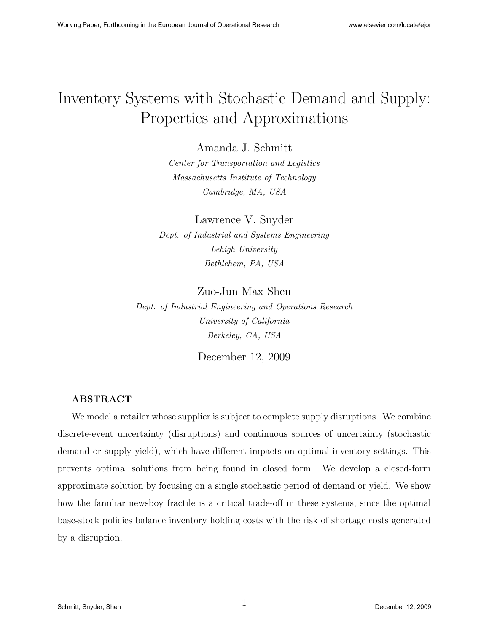# Inventory Systems with Stochastic Demand and Supply: Properties and Approximations

Amanda J. Schmitt

Center for Transportation and Logistics Massachusetts Institute of Technology Cambridge, MA, USA

Lawrence V. Snyder Dept. of Industrial and Systems Engineering Lehigh University Bethlehem, PA, USA

Zuo-Jun Max Shen

Dept. of Industrial Engineering and Operations Research University of California Berkeley, CA, USA

December 12, 2009

### ABSTRACT

We model a retailer whose supplier is subject to complete supply disruptions. We combine discrete-event uncertainty (disruptions) and continuous sources of uncertainty (stochastic demand or supply yield), which have different impacts on optimal inventory settings. This prevents optimal solutions from being found in closed form. We develop a closed-form approximate solution by focusing on a single stochastic period of demand or yield. We show how the familiar newsboy fractile is a critical trade-off in these systems, since the optimal base-stock policies balance inventory holding costs with the risk of shortage costs generated by a disruption.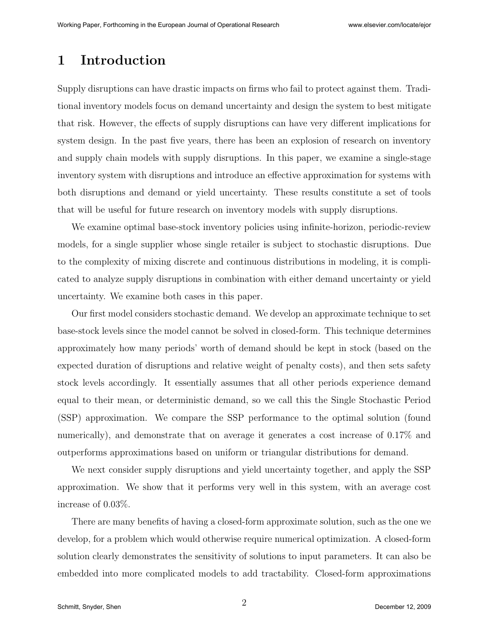# 1 Introduction

Supply disruptions can have drastic impacts on firms who fail to protect against them. Traditional inventory models focus on demand uncertainty and design the system to best mitigate that risk. However, the effects of supply disruptions can have very different implications for system design. In the past five years, there has been an explosion of research on inventory and supply chain models with supply disruptions. In this paper, we examine a single-stage inventory system with disruptions and introduce an effective approximation for systems with both disruptions and demand or yield uncertainty. These results constitute a set of tools that will be useful for future research on inventory models with supply disruptions.

We examine optimal base-stock inventory policies using infinite-horizon, periodic-review models, for a single supplier whose single retailer is subject to stochastic disruptions. Due to the complexity of mixing discrete and continuous distributions in modeling, it is complicated to analyze supply disruptions in combination with either demand uncertainty or yield uncertainty. We examine both cases in this paper.

Our first model considers stochastic demand. We develop an approximate technique to set base-stock levels since the model cannot be solved in closed-form. This technique determines approximately how many periods' worth of demand should be kept in stock (based on the expected duration of disruptions and relative weight of penalty costs), and then sets safety stock levels accordingly. It essentially assumes that all other periods experience demand equal to their mean, or deterministic demand, so we call this the Single Stochastic Period (SSP) approximation. We compare the SSP performance to the optimal solution (found numerically), and demonstrate that on average it generates a cost increase of  $0.17\%$  and outperforms approximations based on uniform or triangular distributions for demand.

We next consider supply disruptions and yield uncertainty together, and apply the SSP approximation. We show that it performs very well in this system, with an average cost increase of 0.03%.

There are many benefits of having a closed-form approximate solution, such as the one we develop, for a problem which would otherwise require numerical optimization. A closed-form solution clearly demonstrates the sensitivity of solutions to input parameters. It can also be embedded into more complicated models to add tractability. Closed-form approximations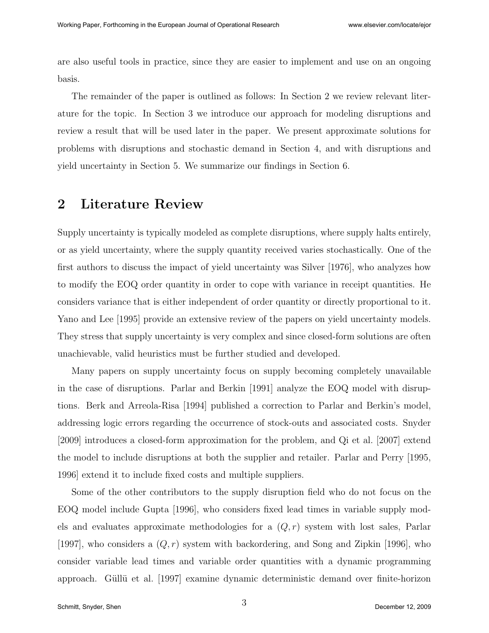are also useful tools in practice, since they are easier to implement and use on an ongoing basis.

The remainder of the paper is outlined as follows: In Section 2 we review relevant literature for the topic. In Section 3 we introduce our approach for modeling disruptions and review a result that will be used later in the paper. We present approximate solutions for problems with disruptions and stochastic demand in Section 4, and with disruptions and yield uncertainty in Section 5. We summarize our findings in Section 6.

# 2 Literature Review

Supply uncertainty is typically modeled as complete disruptions, where supply halts entirely, or as yield uncertainty, where the supply quantity received varies stochastically. One of the first authors to discuss the impact of yield uncertainty was Silver [1976], who analyzes how to modify the EOQ order quantity in order to cope with variance in receipt quantities. He considers variance that is either independent of order quantity or directly proportional to it. Yano and Lee [1995] provide an extensive review of the papers on yield uncertainty models. They stress that supply uncertainty is very complex and since closed-form solutions are often unachievable, valid heuristics must be further studied and developed.

Many papers on supply uncertainty focus on supply becoming completely unavailable in the case of disruptions. Parlar and Berkin [1991] analyze the EOQ model with disruptions. Berk and Arreola-Risa [1994] published a correction to Parlar and Berkin's model, addressing logic errors regarding the occurrence of stock-outs and associated costs. Snyder [2009] introduces a closed-form approximation for the problem, and Qi et al. [2007] extend the model to include disruptions at both the supplier and retailer. Parlar and Perry [1995, 1996] extend it to include fixed costs and multiple suppliers.

Some of the other contributors to the supply disruption field who do not focus on the EOQ model include Gupta [1996], who considers fixed lead times in variable supply models and evaluates approximate methodologies for a  $(Q, r)$  system with lost sales, Parlar [1997], who considers a  $(Q, r)$  system with backordering, and Song and Zipkin [1996], who consider variable lead times and variable order quantities with a dynamic programming approach. G¨ull¨u et al. [1997] examine dynamic deterministic demand over finite-horizon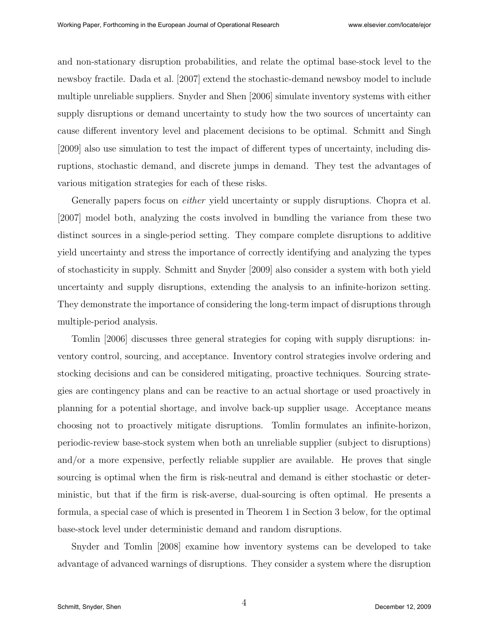and non-stationary disruption probabilities, and relate the optimal base-stock level to the newsboy fractile. Dada et al. [2007] extend the stochastic-demand newsboy model to include multiple unreliable suppliers. Snyder and Shen [2006] simulate inventory systems with either supply disruptions or demand uncertainty to study how the two sources of uncertainty can cause different inventory level and placement decisions to be optimal. Schmitt and Singh [2009] also use simulation to test the impact of different types of uncertainty, including disruptions, stochastic demand, and discrete jumps in demand. They test the advantages of various mitigation strategies for each of these risks.

Generally papers focus on *either* yield uncertainty or supply disruptions. Chopra et al. [2007] model both, analyzing the costs involved in bundling the variance from these two distinct sources in a single-period setting. They compare complete disruptions to additive yield uncertainty and stress the importance of correctly identifying and analyzing the types of stochasticity in supply. Schmitt and Snyder [2009] also consider a system with both yield uncertainty and supply disruptions, extending the analysis to an infinite-horizon setting. They demonstrate the importance of considering the long-term impact of disruptions through multiple-period analysis.

Tomlin [2006] discusses three general strategies for coping with supply disruptions: inventory control, sourcing, and acceptance. Inventory control strategies involve ordering and stocking decisions and can be considered mitigating, proactive techniques. Sourcing strategies are contingency plans and can be reactive to an actual shortage or used proactively in planning for a potential shortage, and involve back-up supplier usage. Acceptance means choosing not to proactively mitigate disruptions. Tomlin formulates an infinite-horizon, periodic-review base-stock system when both an unreliable supplier (subject to disruptions) and/or a more expensive, perfectly reliable supplier are available. He proves that single sourcing is optimal when the firm is risk-neutral and demand is either stochastic or deterministic, but that if the firm is risk-averse, dual-sourcing is often optimal. He presents a formula, a special case of which is presented in Theorem 1 in Section 3 below, for the optimal base-stock level under deterministic demand and random disruptions.

Snyder and Tomlin [2008] examine how inventory systems can be developed to take advantage of advanced warnings of disruptions. They consider a system where the disruption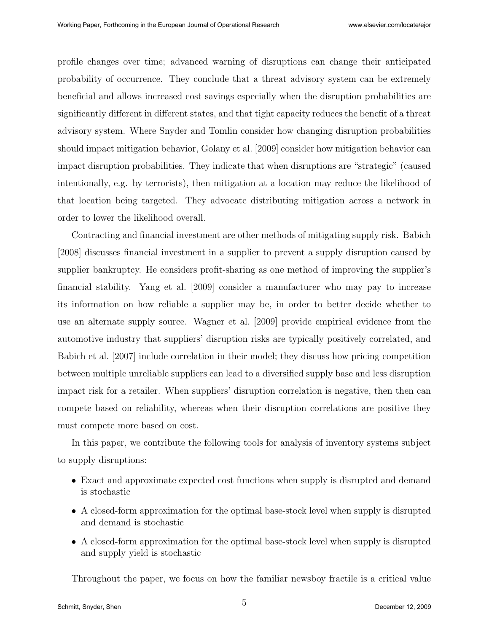profile changes over time; advanced warning of disruptions can change their anticipated probability of occurrence. They conclude that a threat advisory system can be extremely beneficial and allows increased cost savings especially when the disruption probabilities are significantly different in different states, and that tight capacity reduces the benefit of a threat advisory system. Where Snyder and Tomlin consider how changing disruption probabilities should impact mitigation behavior, Golany et al. [2009] consider how mitigation behavior can impact disruption probabilities. They indicate that when disruptions are "strategic" (caused intentionally, e.g. by terrorists), then mitigation at a location may reduce the likelihood of that location being targeted. They advocate distributing mitigation across a network in order to lower the likelihood overall.

Contracting and financial investment are other methods of mitigating supply risk. Babich [2008] discusses financial investment in a supplier to prevent a supply disruption caused by supplier bankruptcy. He considers profit-sharing as one method of improving the supplier's financial stability. Yang et al. [2009] consider a manufacturer who may pay to increase its information on how reliable a supplier may be, in order to better decide whether to use an alternate supply source. Wagner et al. [2009] provide empirical evidence from the automotive industry that suppliers' disruption risks are typically positively correlated, and Babich et al. [2007] include correlation in their model; they discuss how pricing competition between multiple unreliable suppliers can lead to a diversified supply base and less disruption impact risk for a retailer. When suppliers' disruption correlation is negative, then then can compete based on reliability, whereas when their disruption correlations are positive they must compete more based on cost.

In this paper, we contribute the following tools for analysis of inventory systems subject to supply disruptions:

- Exact and approximate expected cost functions when supply is disrupted and demand is stochastic
- A closed-form approximation for the optimal base-stock level when supply is disrupted and demand is stochastic
- A closed-form approximation for the optimal base-stock level when supply is disrupted and supply yield is stochastic

Throughout the paper, we focus on how the familiar newsboy fractile is a critical value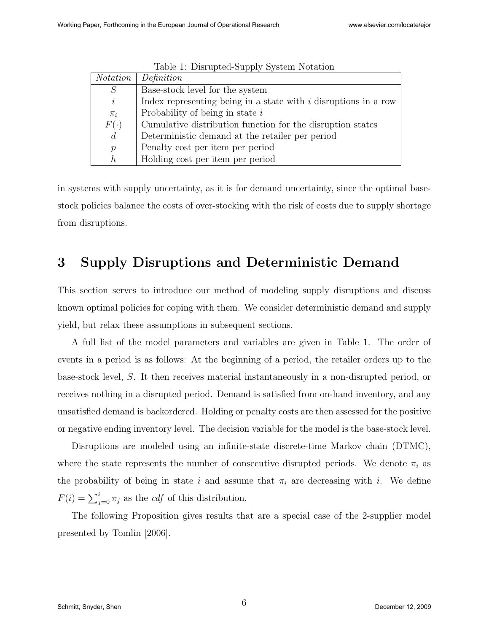| Notation         | Definition                                                        |
|------------------|-------------------------------------------------------------------|
| $\, S \,$        | Base-stock level for the system                                   |
| $\dot{i}$        | Index representing being in a state with $i$ disruptions in a row |
| $\pi_i$          | Probability of being in state $i$                                 |
| $F(\cdot)$       | Cumulative distribution function for the disruption states        |
| d                | Deterministic demand at the retailer per period                   |
| $\boldsymbol{p}$ | Penalty cost per item per period                                  |
| $\boldsymbol{h}$ | Holding cost per item per period                                  |

Table 1: Disrupted-Supply System Notation

in systems with supply uncertainty, as it is for demand uncertainty, since the optimal basestock policies balance the costs of over-stocking with the risk of costs due to supply shortage from disruptions.

# 3 Supply Disruptions and Deterministic Demand

This section serves to introduce our method of modeling supply disruptions and discuss known optimal policies for coping with them. We consider deterministic demand and supply yield, but relax these assumptions in subsequent sections.

A full list of the model parameters and variables are given in Table 1. The order of events in a period is as follows: At the beginning of a period, the retailer orders up to the base-stock level, S. It then receives material instantaneously in a non-disrupted period, or receives nothing in a disrupted period. Demand is satisfied from on-hand inventory, and any unsatisfied demand is backordered. Holding or penalty costs are then assessed for the positive or negative ending inventory level. The decision variable for the model is the base-stock level.

Disruptions are modeled using an infinite-state discrete-time Markov chain (DTMC), where the state represents the number of consecutive disrupted periods. We denote  $\pi_i$  as the probability of being in state i and assume that  $\pi_i$  are decreasing with i. We define  $F(i) = \sum_{j=0}^{i} \pi_j$  as the *cdf* of this distribution.

The following Proposition gives results that are a special case of the 2-supplier model presented by Tomlin [2006].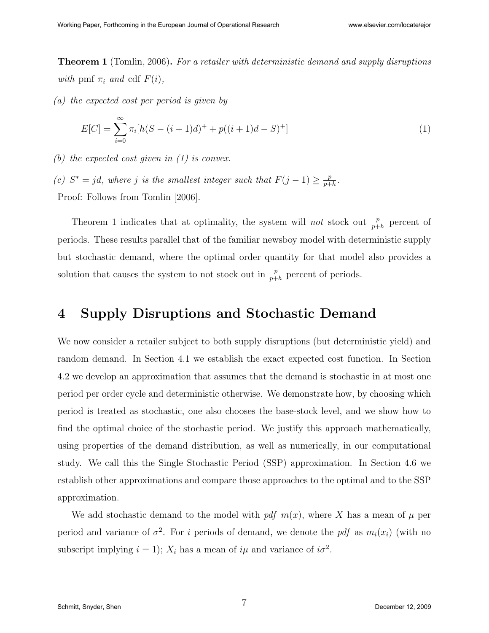**Theorem 1** (Tomlin, 2006). For a retailer with deterministic demand and supply disruptions with pmf  $\pi_i$  and cdf  $F(i)$ ,

(a) the expected cost per period is given by

$$
E[C] = \sum_{i=0}^{\infty} \pi_i[h(S - (i+1)d)^+ + p((i+1)d - S)^+]
$$
\n(1)

- (b) the expected cost given in (1) is convex.
- (c)  $S^* = jd$ , where j is the smallest integer such that  $F(j-1) \geq \frac{p}{n+1}$  $\frac{p}{p+h}$ . Proof: Follows from Tomlin [2006].

Theorem 1 indicates that at optimality, the system will *not* stock out  $\frac{p}{p+h}$  percent of periods. These results parallel that of the familiar newsboy model with deterministic supply but stochastic demand, where the optimal order quantity for that model also provides a solution that causes the system to not stock out in  $\frac{p}{p+h}$  percent of periods.

## 4 Supply Disruptions and Stochastic Demand

We now consider a retailer subject to both supply disruptions (but deterministic yield) and random demand. In Section 4.1 we establish the exact expected cost function. In Section 4.2 we develop an approximation that assumes that the demand is stochastic in at most one period per order cycle and deterministic otherwise. We demonstrate how, by choosing which period is treated as stochastic, one also chooses the base-stock level, and we show how to find the optimal choice of the stochastic period. We justify this approach mathematically, using properties of the demand distribution, as well as numerically, in our computational study. We call this the Single Stochastic Period (SSP) approximation. In Section 4.6 we establish other approximations and compare those approaches to the optimal and to the SSP approximation.

We add stochastic demand to the model with pdf  $m(x)$ , where X has a mean of  $\mu$  per period and variance of  $\sigma^2$ . For i periods of demand, we denote the pdf as  $m_i(x_i)$  (with no subscript implying  $i = 1$ );  $X_i$  has a mean of  $i\mu$  and variance of  $i\sigma^2$ .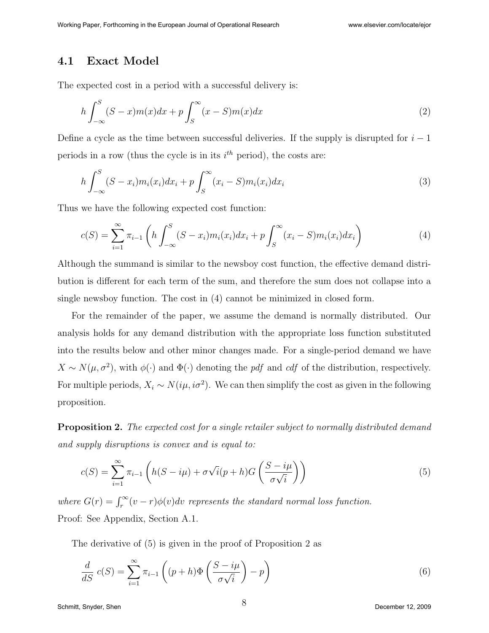### 4.1 Exact Model

The expected cost in a period with a successful delivery is:

$$
h\int_{-\infty}^{S} (S-x)m(x)dx + p\int_{S}^{\infty} (x-S)m(x)dx \tag{2}
$$

Define a cycle as the time between successful deliveries. If the supply is disrupted for  $i - 1$ periods in a row (thus the cycle is in its  $i^{th}$  period), the costs are:

$$
h\int_{-\infty}^{S} (S-x_i)m_i(x_i)dx_i + p\int_{S}^{\infty} (x_i - S)m_i(x_i)dx_i \tag{3}
$$

Thus we have the following expected cost function:

$$
c(S) = \sum_{i=1}^{\infty} \pi_{i-1} \left( h \int_{-\infty}^{S} (S - x_i) m_i(x_i) dx_i + p \int_{S}^{\infty} (x_i - S) m_i(x_i) dx_i \right)
$$
(4)

Although the summand is similar to the newsboy cost function, the effective demand distribution is different for each term of the sum, and therefore the sum does not collapse into a single newsboy function. The cost in (4) cannot be minimized in closed form.

For the remainder of the paper, we assume the demand is normally distributed. Our analysis holds for any demand distribution with the appropriate loss function substituted into the results below and other minor changes made. For a single-period demand we have  $X \sim N(\mu, \sigma^2)$ , with  $\phi(\cdot)$  and  $\Phi(\cdot)$  denoting the pdf and cdf of the distribution, respectively. For multiple periods,  $X_i \sim N(i\mu, i\sigma^2)$ . We can then simplify the cost as given in the following proposition.

**Proposition 2.** The expected cost for a single retailer subject to normally distributed demand and supply disruptions is convex and is equal to:

$$
c(S) = \sum_{i=1}^{\infty} \pi_{i-1} \left( h(S - i\mu) + \sigma \sqrt{i} (p + h) G \left( \frac{S - i\mu}{\sigma \sqrt{i}} \right) \right)
$$
(5)

where  $G(r) = \int_r^{\infty} (v-r) \phi(v) dv$  represents the standard normal loss function. Proof: See Appendix, Section A.1.

The derivative of (5) is given in the proof of Proposition 2 as

$$
\frac{d}{dS} c(S) = \sum_{i=1}^{\infty} \pi_{i-1} \left( (p+h)\Phi\left(\frac{S-i\mu}{\sigma\sqrt{i}}\right) - p \right)
$$
(6)

Schmitt, Snyder, Shen December 12, 2009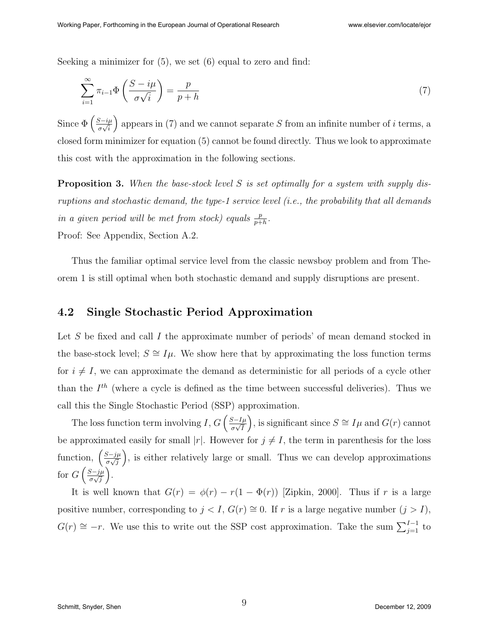Seeking a minimizer for  $(5)$ , we set  $(6)$  equal to zero and find:

$$
\sum_{i=1}^{\infty} \pi_{i-1} \Phi\left(\frac{S - i\mu}{\sigma \sqrt{i}}\right) = \frac{p}{p+h} \tag{7}
$$

Since  $\Phi\left(\frac{S-i\mu}{\sigma s}\right)$  $\frac{5-i\mu}{\sigma\sqrt{i}}$ ) appears in (7) and we cannot separate S from an infinite number of i terms, a closed form minimizer for equation (5) cannot be found directly. Thus we look to approximate this cost with the approximation in the following sections.

Proposition 3. When the base-stock level S is set optimally for a system with supply disruptions and stochastic demand, the type-1 service level (i.e., the probability that all demands in a given period will be met from stock) equals  $\frac{p}{p+h}$ .

Proof: See Appendix, Section A.2.

Thus the familiar optimal service level from the classic newsboy problem and from Theorem 1 is still optimal when both stochastic demand and supply disruptions are present.

### 4.2 Single Stochastic Period Approximation

Let S be fixed and call I the approximate number of periods' of mean demand stocked in the base-stock level;  $S \cong I\mu$ . We show here that by approximating the loss function terms for  $i \neq I$ , we can approximate the demand as deterministic for all periods of a cycle other than the  $I^{th}$  (where a cycle is defined as the time between successful deliveries). Thus we call this the Single Stochastic Period (SSP) approximation.

The loss function term involving I,  $G\left(\frac{S-I\mu}{\sigma\sqrt{I}}\right)$  $\frac{5-I}{\sigma\sqrt{I}}$ ), is significant since  $S \cong I\mu$  and  $G(r)$  cannot be approximated easily for small |r|. However for  $j \neq I$ , the term in parenthesis for the loss function,  $\left(\frac{S-j\mu}{\sigma s/\overline{\sigma}}\right)$  $\frac{\partial -j\mathbf{y}}{\partial \sqrt{j}}$  , is either relatively large or small. Thus we can develop approximations for  $G\left(\frac{S-j\mu}{\sigma\sqrt{s}}\right)$  $\frac{5-jj}{\sigma\sqrt{j}}$ .

It is well known that  $G(r) = \phi(r) - r(1 - \Phi(r))$  [Zipkin, 2000]. Thus if r is a large positive number, corresponding to  $j < I$ ,  $G(r) \cong 0$ . If r is a large negative number  $(j > I)$ ,  $G(r) \cong -r$ . We use this to write out the SSP cost approximation. Take the sum  $\sum_{j=1}^{I-1}$  to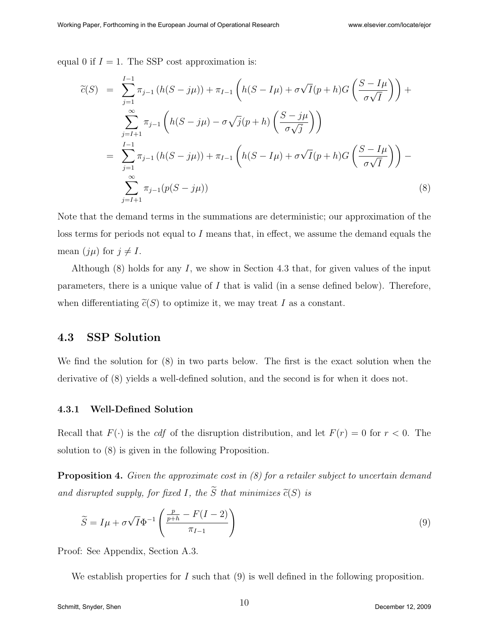equal 0 if  $I = 1$ . The SSP cost approximation is:

$$
\widetilde{c}(S) = \sum_{j=1}^{I-1} \pi_{j-1} (h(S - j\mu)) + \pi_{I-1} \left( h(S - I\mu) + \sigma \sqrt{I}(p + h) G \left( \frac{S - I\mu}{\sigma \sqrt{I}} \right) \right) + \sum_{j=I+1}^{\infty} \pi_{j-1} \left( h(S - j\mu) - \sigma \sqrt{j}(p + h) \left( \frac{S - j\mu}{\sigma \sqrt{j}} \right) \right)
$$
  
\n
$$
= \sum_{j=1}^{I-1} \pi_{j-1} (h(S - j\mu)) + \pi_{I-1} \left( h(S - I\mu) + \sigma \sqrt{I}(p + h) G \left( \frac{S - I\mu}{\sigma \sqrt{I}} \right) \right) - \sum_{j=I+1}^{\infty} \pi_{j-1} (p(S - j\mu)) \tag{8}
$$

Note that the demand terms in the summations are deterministic; our approximation of the loss terms for periods not equal to I means that, in effect, we assume the demand equals the mean  $(j\mu)$  for  $j \neq I$ .

Although (8) holds for any I, we show in Section 4.3 that, for given values of the input parameters, there is a unique value of  $I$  that is valid (in a sense defined below). Therefore, when differentiating  $\tilde{c}(S)$  to optimize it, we may treat I as a constant.

### 4.3 SSP Solution

We find the solution for (8) in two parts below. The first is the exact solution when the derivative of (8) yields a well-defined solution, and the second is for when it does not.

#### 4.3.1 Well-Defined Solution

Recall that  $F(\cdot)$  is the *cdf* of the disruption distribution, and let  $F(r) = 0$  for  $r < 0$ . The solution to (8) is given in the following Proposition.

**Proposition 4.** Given the approximate cost in  $(8)$  for a retailer subject to uncertain demand and disrupted supply, for fixed I, the  $\widetilde{S}$  that minimizes  $\widetilde{c}(S)$  is

$$
\widetilde{S} = I\mu + \sigma\sqrt{I}\Phi^{-1}\left(\frac{\frac{p}{p+h} - F(I-2)}{\pi_{I-1}}\right) \tag{9}
$$

Proof: See Appendix, Section A.3.

We establish properties for I such that  $(9)$  is well defined in the following proposition.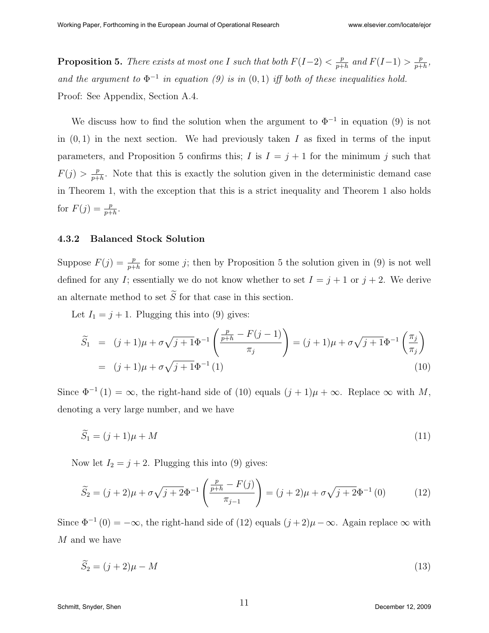**Proposition 5.** There exists at most one I such that both  $F(I-2) < \frac{p}{n+1}$  $\frac{p}{p+h}$  and  $F(I-1) > \frac{p}{p+h}$  $\frac{p}{p+h}$ , and the argument to  $\Phi^{-1}$  in equation (9) is in (0, 1) iff both of these inequalities hold. Proof: See Appendix, Section A.4.

We discuss how to find the solution when the argument to  $\Phi^{-1}$  in equation (9) is not in  $(0, 1)$  in the next section. We had previously taken I as fixed in terms of the input parameters, and Proposition 5 confirms this; I is  $I = j + 1$  for the minimum j such that  $F(j) > \frac{p}{n+1}$  $\frac{p}{p+h}$ . Note that this is exactly the solution given in the deterministic demand case in Theorem 1, with the exception that this is a strict inequality and Theorem 1 also holds for  $F(j) = \frac{p}{p+h}$ .

#### 4.3.2 Balanced Stock Solution

Suppose  $F(j) = \frac{p}{p+h}$  for some j; then by Proposition 5 the solution given in (9) is not well defined for any I; essentially we do not know whether to set  $I = j + 1$  or  $j + 2$ . We derive an alternate method to set  $\widetilde{S}$  for that case in this section.

Let  $I_1 = j + 1$ . Plugging this into (9) gives:

$$
\widetilde{S}_1 = (j+1)\mu + \sigma\sqrt{j+1}\Phi^{-1}\left(\frac{\frac{p}{p+h} - F(j-1)}{\pi_j}\right) = (j+1)\mu + \sigma\sqrt{j+1}\Phi^{-1}\left(\frac{\pi_j}{\pi_j}\right)
$$
\n
$$
= (j+1)\mu + \sigma\sqrt{j+1}\Phi^{-1}(1) \tag{10}
$$

Since  $\Phi^{-1}(1) = \infty$ , the right-hand side of (10) equals  $(j + 1)\mu + \infty$ . Replace  $\infty$  with M, denoting a very large number, and we have

$$
\widetilde{S}_1 = (j+1)\mu + M \tag{11}
$$

Now let  $I_2 = j + 2$ . Plugging this into (9) gives:

$$
\widetilde{S}_2 = (j+2)\mu + \sigma\sqrt{j+2}\Phi^{-1}\left(\frac{\frac{p}{p+h} - F(j)}{\pi_{j-1}}\right) = (j+2)\mu + \sigma\sqrt{j+2}\Phi^{-1}(0) \tag{12}
$$

Since  $\Phi^{-1}(0) = -\infty$ , the right-hand side of (12) equals  $(j+2)\mu - \infty$ . Again replace  $\infty$  with M and we have

$$
\widetilde{S}_2 = (j+2)\mu - M \tag{13}
$$

Schmitt, Snyder, Shen December 12, 2009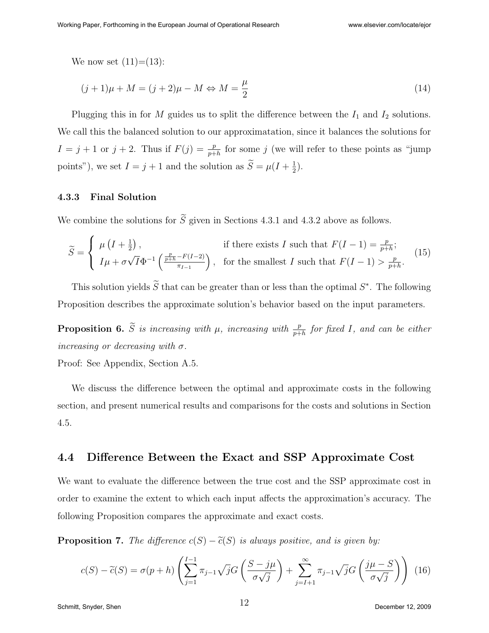We now set  $(11)=(13)$ :

$$
(j+1)\mu + M = (j+2)\mu - M \Leftrightarrow M = \frac{\mu}{2}
$$
\n(14)

Plugging this in for  $M$  guides us to split the difference between the  $I_1$  and  $I_2$  solutions. We call this the balanced solution to our approximatation, since it balances the solutions for  $I = j + 1$  or  $j + 2$ . Thus if  $F(j) = \frac{p}{p+h}$  for some j (we will refer to these points as "jump") points"), we set  $I = j + 1$  and the solution as  $\tilde{S} = \mu(I + \frac{1}{2})$  $(\frac{1}{2})$ .

### 4.3.3 Final Solution

We combine the solutions for  $\widetilde{S}$  given in Sections 4.3.1 and 4.3.2 above as follows.

$$
\widetilde{S} = \begin{cases}\n\mu \left( I + \frac{1}{2} \right), & \text{if there exists } I \text{ such that } F(I - 1) = \frac{p}{p+h}; \\
I \mu + \sigma \sqrt{I} \Phi^{-1} \left( \frac{\frac{p}{p+h} - F(I - 2)}{\pi_{I - 1}} \right), & \text{for the smallest } I \text{ such that } F(I - 1) > \frac{p}{p+h}.\n\end{cases}
$$
\n(15)

This solution yields  $\tilde{S}$  that can be greater than or less than the optimal  $S^*$ . The following Proposition describes the approximate solution's behavior based on the input parameters.

**Proposition 6.**  $\widetilde{S}$  is increasing with  $\mu$ , increasing with  $\frac{p}{p+h}$  for fixed I, and can be either increasing or decreasing with  $\sigma$ .

Proof: See Appendix, Section A.5.

We discuss the difference between the optimal and approximate costs in the following section, and present numerical results and comparisons for the costs and solutions in Section 4.5.

### 4.4 Difference Between the Exact and SSP Approximate Cost

We want to evaluate the difference between the true cost and the SSP approximate cost in order to examine the extent to which each input affects the approximation's accuracy. The following Proposition compares the approximate and exact costs.

**Proposition 7.** The difference  $c(S) - \tilde{c}(S)$  is always positive, and is given by:

$$
c(S) - \tilde{c}(S) = \sigma(p + h) \left( \sum_{j=1}^{I-1} \pi_{j-1} \sqrt{j} G\left(\frac{S - j\mu}{\sigma\sqrt{j}}\right) + \sum_{j=I+1}^{\infty} \pi_{j-1} \sqrt{j} G\left(\frac{j\mu - S}{\sigma\sqrt{j}}\right) \right)
$$
(16)

Schmitt, Snyder, Shen December 12, 2009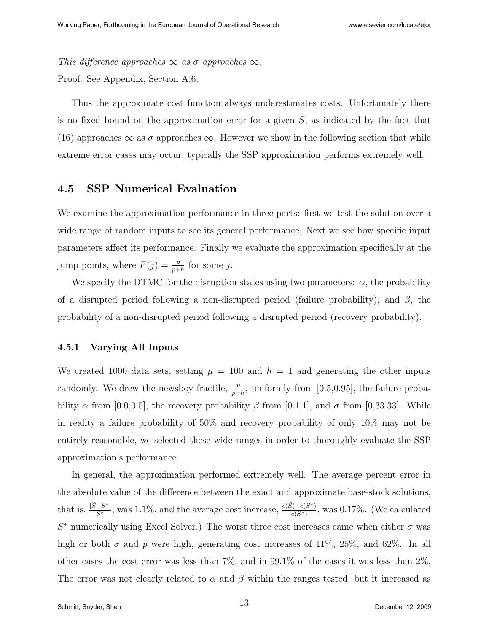This difference approaches  $\infty$  as  $\sigma$  approaches  $\infty$ . Proof: See Appendix, Section A.6.

Thus the approximate cost function always underestimates costs. Unfortunately there is no fixed bound on the approximation error for a given S, as indicated by the fact that (16) approaches  $\infty$  as  $\sigma$  approaches  $\infty$ . However we show in the following section that while extreme error cases may occur, typically the SSP approximation performs extremely well.

## 4.5 SSP Numerical Evaluation

We examine the approximation performance in three parts: first we test the solution over a wide range of random inputs to see its general performance. Next we see how specific input parameters affect its performance. Finally we evaluate the approximation specifically at the jump points, where  $F(j) = \frac{p}{p+h}$  for some j.

We specify the DTMC for the disruption states using two parameters:  $\alpha$ , the probability of a disrupted period following a non-disrupted period (failure probability), and  $\beta$ , the probability of a non-disrupted period following a disrupted period (recovery probability).

### 4.5.1 Varying All Inputs

We created 1000 data sets, setting  $\mu = 100$  and  $h = 1$  and generating the other inputs randomly. We drew the newsboy fractile,  $\frac{p}{p+h}$ , uniformly from [0.5,0.95], the failure probability  $\alpha$  from [0.0,0.5], the recovery probability  $\beta$  from [0.1,1], and  $\sigma$  from [0,33.33]. While in reality a failure probability of 50% and recovery probability of only 10% may not be entirely reasonable, we selected these wide ranges in order to thoroughly evaluate the SSP approximation's performance.

In general, the approximation performed extremely well. The average percent error in the absolute value of the difference between the exact and approximate base-stock solutions, that is,  $\frac{|\tilde{S}-S^*|}{S^*}$ , was 1.1%, and the average cost increase,  $\frac{c(\tilde{S})-c(S^*)}{c(S^*)}$  $\frac{c(S^*)}{c(S^*)}$ , was 0.17%. (We calculated  $S^*$  numerically using Excel Solver.) The worst three cost increases came when either  $\sigma$  was high or both  $\sigma$  and  $p$  were high, generating cost increases of 11%, 25%, and 62%. In all other cases the cost error was less than 7%, and in 99.1% of the cases it was less than 2%. The error was not clearly related to  $\alpha$  and  $\beta$  within the ranges tested, but it increased as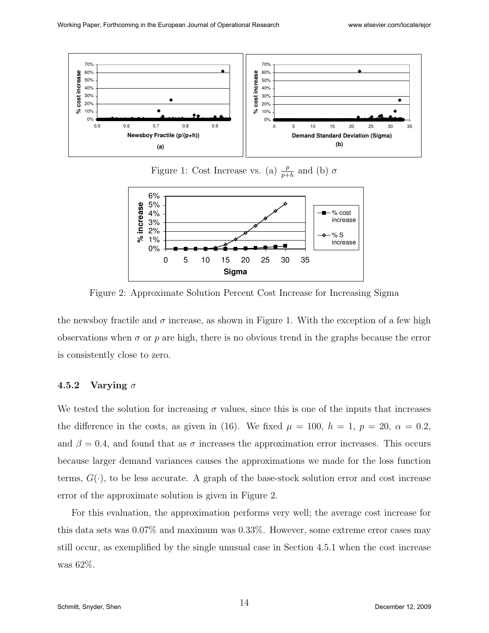

Figure 1: Cost Increase vs. (a)  $\frac{p}{p+h}$  and (b)  $\sigma$ 



Figure 2: Approximate Solution Percent Cost Increase for Increasing Sigma

the newsboy fractile and  $\sigma$  increase, as shown in Figure 1. With the exception of a few high observations when  $\sigma$  or p are high, there is no obvious trend in the graphs because the error is consistently close to zero.

### 4.5.2 Varying  $\sigma$

We tested the solution for increasing  $\sigma$  values, since this is one of the inputs that increases the difference in the costs, as given in (16). We fixed  $\mu = 100$ ,  $h = 1$ ,  $p = 20$ ,  $\alpha = 0.2$ , and  $\beta = 0.4$ , and found that as  $\sigma$  increases the approximation error increases. This occurs because larger demand variances causes the approximations we made for the loss function terms,  $G(\cdot)$ , to be less accurate. A graph of the base-stock solution error and cost increase error of the approximate solution is given in Figure 2.

For this evaluation, the approximation performs very well; the average cost increase for this data sets was 0.07% and maximum was 0.33%. However, some extreme error cases may still occur, as exemplified by the single unusual case in Section 4.5.1 when the cost increase was 62%.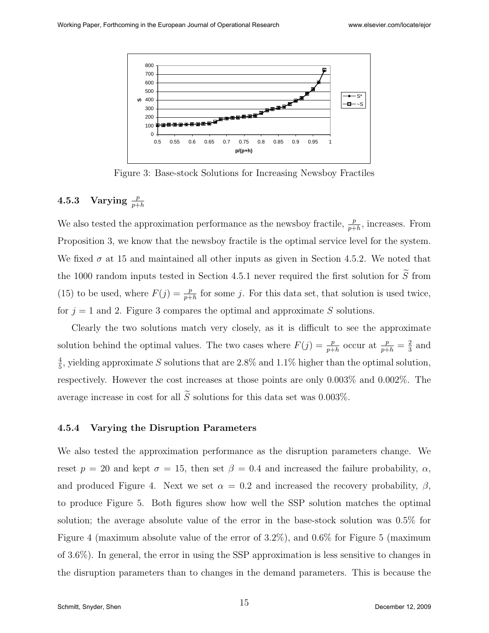

Figure 3: Base-stock Solutions for Increasing Newsboy Fractiles

# $4.5.3$  Varying  $\frac{p}{p+h}$

We also tested the approximation performance as the newsboy fractile,  $\frac{p}{p+h}$ , increases. From Proposition 3, we know that the newsboy fractile is the optimal service level for the system. We fixed  $\sigma$  at 15 and maintained all other inputs as given in Section 4.5.2. We noted that the 1000 random inputs tested in Section 4.5.1 never required the first solution for  $\widetilde{S}$  from (15) to be used, where  $F(j) = \frac{p}{p+h}$  for some j. For this data set, that solution is used twice, for  $j = 1$  and 2. Figure 3 compares the optimal and approximate S solutions.

Clearly the two solutions match very closely, as it is difficult to see the approximate solution behind the optimal values. The two cases where  $F(j) = \frac{p}{p+h}$  occur at  $\frac{p}{p+h} = \frac{2}{3}$  $rac{2}{3}$  and 4  $\frac{4}{5}$ , yielding approximate S solutions that are 2.8% and 1.1% higher than the optimal solution, respectively. However the cost increases at those points are only 0.003% and 0.002%. The average increase in cost for all  $\widetilde{S}$  solutions for this data set was 0.003%.

#### 4.5.4 Varying the Disruption Parameters

We also tested the approximation performance as the disruption parameters change. We reset  $p = 20$  and kept  $\sigma = 15$ , then set  $\beta = 0.4$  and increased the failure probability,  $\alpha$ , and produced Figure 4. Next we set  $\alpha = 0.2$  and increased the recovery probability,  $\beta$ , to produce Figure 5. Both figures show how well the SSP solution matches the optimal solution; the average absolute value of the error in the base-stock solution was 0.5% for Figure 4 (maximum absolute value of the error of 3.2%), and 0.6% for Figure 5 (maximum of 3.6%). In general, the error in using the SSP approximation is less sensitive to changes in the disruption parameters than to changes in the demand parameters. This is because the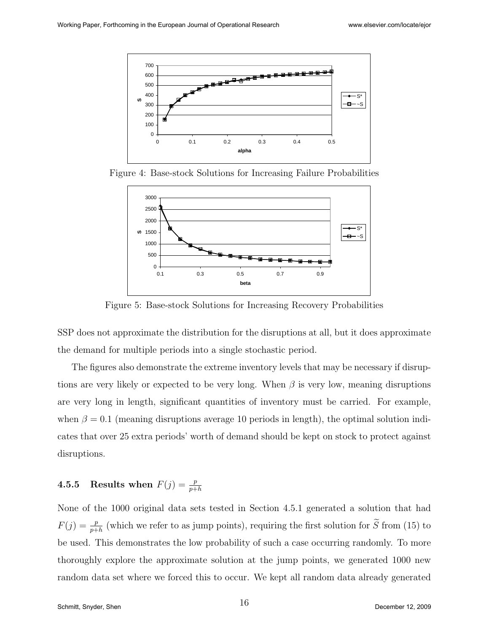

Figure 4: Base-stock Solutions for Increasing Failure Probabilities



Figure 5: Base-stock Solutions for Increasing Recovery Probabilities

SSP does not approximate the distribution for the disruptions at all, but it does approximate the demand for multiple periods into a single stochastic period.

The figures also demonstrate the extreme inventory levels that may be necessary if disruptions are very likely or expected to be very long. When  $\beta$  is very low, meaning disruptions are very long in length, significant quantities of inventory must be carried. For example, when  $\beta = 0.1$  (meaning disruptions average 10 periods in length), the optimal solution indicates that over 25 extra periods' worth of demand should be kept on stock to protect against disruptions.

# **4.5.5** Results when  $F(j) = \frac{p}{p+h}$

None of the 1000 original data sets tested in Section 4.5.1 generated a solution that had  $F(j) = \frac{p}{p+h}$  (which we refer to as jump points), requiring the first solution for  $\tilde{S}$  from (15) to be used. This demonstrates the low probability of such a case occurring randomly. To more thoroughly explore the approximate solution at the jump points, we generated 1000 new random data set where we forced this to occur. We kept all random data already generated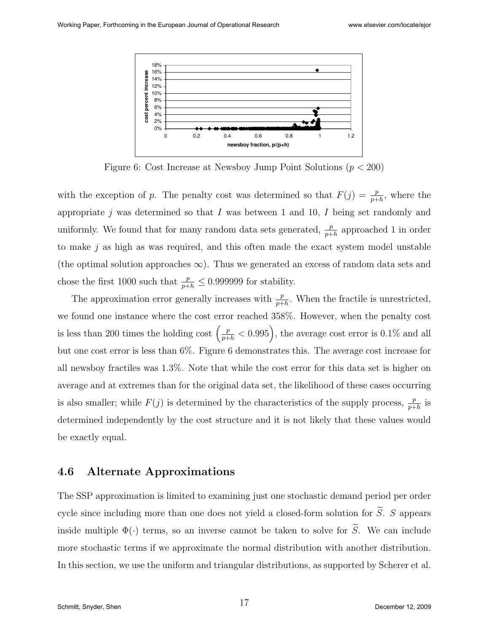

Figure 6: Cost Increase at Newsboy Jump Point Solutions  $(p < 200)$ 

with the exception of p. The penalty cost was determined so that  $F(j) = \frac{p}{p+h}$ , where the appropriate j was determined so that  $I$  was between 1 and 10,  $I$  being set randomly and uniformly. We found that for many random data sets generated,  $\frac{p}{p+h}$  approached 1 in order to make  $j$  as high as was required, and this often made the exact system model unstable (the optimal solution approaches  $\infty$ ). Thus we generated an excess of random data sets and chose the first 1000 such that  $\frac{p}{p+h} \leq 0.9999999$  for stability.

The approximation error generally increases with  $\frac{p}{p+h}$ . When the fractile is unrestricted, we found one instance where the cost error reached 358%. However, when the penalty cost is less than 200 times the holding cost  $\left(\frac{p}{p+h} < 0.995\right)$ , the average cost error is 0.1% and all but one cost error is less than 6%. Figure 6 demonstrates this. The average cost increase for all newsboy fractiles was 1.3%. Note that while the cost error for this data set is higher on average and at extremes than for the original data set, the likelihood of these cases occurring is also smaller; while  $F(j)$  is determined by the characteristics of the supply process,  $\frac{p}{p+h}$  is determined independently by the cost structure and it is not likely that these values would be exactly equal.

### 4.6 Alternate Approximations

The SSP approximation is limited to examining just one stochastic demand period per order cycle since including more than one does not yield a closed-form solution for  $\widetilde{S}$ . S appears inside multiple  $\Phi(\cdot)$  terms, so an inverse cannot be taken to solve for  $\widetilde{S}$ . We can include more stochastic terms if we approximate the normal distribution with another distribution. In this section, we use the uniform and triangular distributions, as supported by Scherer et al.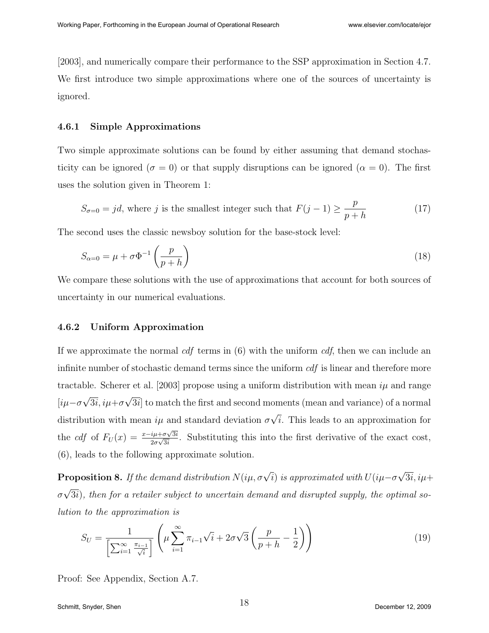[2003], and numerically compare their performance to the SSP approximation in Section 4.7. We first introduce two simple approximations where one of the sources of uncertainty is ignored.

### 4.6.1 Simple Approximations

Two simple approximate solutions can be found by either assuming that demand stochasticity can be ignored ( $\sigma = 0$ ) or that supply disruptions can be ignored ( $\alpha = 0$ ). The first uses the solution given in Theorem 1:

$$
S_{\sigma=0} = jd, \text{ where } j \text{ is the smallest integer such that } F(j-1) \ge \frac{p}{p+h} \tag{17}
$$

The second uses the classic newsboy solution for the base-stock level:

$$
S_{\alpha=0} = \mu + \sigma \Phi^{-1} \left( \frac{p}{p+h} \right) \tag{18}
$$

We compare these solutions with the use of approximations that account for both sources of uncertainty in our numerical evaluations.

### 4.6.2 Uniform Approximation

If we approximate the normal  $\alpha f$  terms in (6) with the uniform  $\alpha f$ , then we can include an infinite number of stochastic demand terms since the uniform  $\alpha f$  is linear and therefore more tractable. Scherer et al. [2003] propose using a uniform distribution with mean  $i\mu$  and range  $[i\mu-\sigma]$ √  $3i, i\mu+\sigma$ √ 3i] to match the first and second moments (mean and variance) of a normal distribution with mean  $i\mu$  and standard deviation  $\sigma$ √ i. This leads to an approximation for the cdf of  $F_U(x) = \frac{x - i\mu + \sigma\sqrt{3i}}{2\sigma\sqrt{3i}}$  $\frac{\partial \mu + \sigma \sqrt{3}i}{\partial \sqrt{3}i}$ . Substituting this into the first derivative of the exact cost, (6), leads to the following approximate solution.

**Proposition 8.** If the demand distribution  $N(i\mu, \sigma\sqrt{i})$  is approximated with  $U(i\mu-\sigma)$ √  $3i, i\mu +$ σ √ 3i), then for a retailer subject to uncertain demand and disrupted supply, the optimal solution to the approximation is

$$
S_U = \frac{1}{\left[\sum_{i=1}^{\infty} \frac{\pi_{i-1}}{\sqrt{i}}\right]} \left(\mu \sum_{i=1}^{\infty} \pi_{i-1} \sqrt{i} + 2\sigma \sqrt{3} \left(\frac{p}{p+h} - \frac{1}{2}\right)\right)
$$
(19)

Proof: See Appendix, Section A.7.

Schmitt, Snyder, Shen December 12, 2009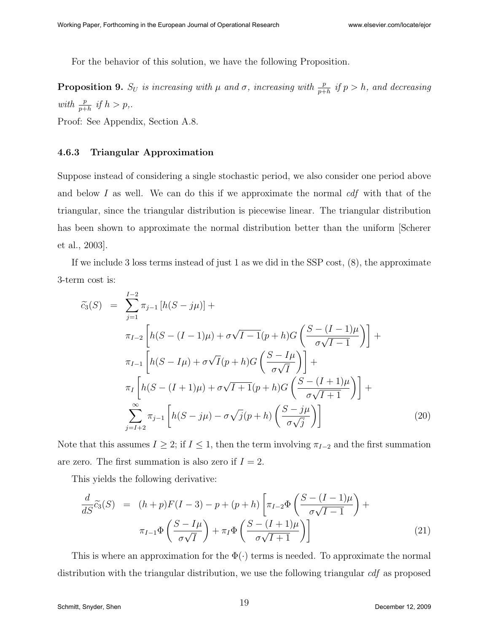For the behavior of this solution, we have the following Proposition.

**Proposition 9.**  $S_U$  is increasing with  $\mu$  and  $\sigma$ , increasing with  $\frac{p}{p+h}$  if  $p > h$ , and decreasing with  $\frac{p}{p+h}$  if  $h > p$ ,. Proof: See Appendix, Section A.8.

#### 4.6.3 Triangular Approximation

Suppose instead of considering a single stochastic period, we also consider one period above and below I as well. We can do this if we approximate the normal  $\textit{cdf}$  with that of the triangular, since the triangular distribution is piecewise linear. The triangular distribution has been shown to approximate the normal distribution better than the uniform [Scherer et al., 2003].

If we include 3 loss terms instead of just 1 as we did in the SSP cost, (8), the approximate 3-term cost is:

$$
\tilde{c}_{3}(S) = \sum_{j=1}^{I-2} \pi_{j-1} [h(S - j\mu)] +
$$
\n
$$
\pi_{I-2} \left[ h(S - (I - 1)\mu) + \sigma \sqrt{I - 1} (p + h) G \left( \frac{S - (I - 1)\mu}{\sigma \sqrt{I - 1}} \right) \right] +
$$
\n
$$
\pi_{I-1} \left[ h(S - I\mu) + \sigma \sqrt{I} (p + h) G \left( \frac{S - I\mu}{\sigma \sqrt{I}} \right) \right] +
$$
\n
$$
\pi_{I} \left[ h(S - (I + 1)\mu) + \sigma \sqrt{I + 1} (p + h) G \left( \frac{S - (I + 1)\mu}{\sigma \sqrt{I + 1}} \right) \right] +
$$
\n
$$
\sum_{j=I+2}^{\infty} \pi_{j-1} \left[ h(S - j\mu) - \sigma \sqrt{j} (p + h) \left( \frac{S - j\mu}{\sigma \sqrt{j}} \right) \right] \tag{20}
$$

Note that this assumes  $I \geq 2$ ; if  $I \leq 1$ , then the term involving  $\pi_{I-2}$  and the first summation are zero. The first summation is also zero if  $I = 2$ .

This yields the following derivative:

$$
\frac{d}{dS}\tilde{c}_3(S) = (h+p)F(I-3) - p + (p+h)\left[\pi_{I-2}\Phi\left(\frac{S-(I-1)\mu}{\sigma\sqrt{I-1}}\right) + \pi_{I-1}\Phi\left(\frac{S-I\mu}{\sigma\sqrt{I}}\right) + \pi_I\Phi\left(\frac{S-(I+1)\mu}{\sigma\sqrt{I+1}}\right)\right]
$$
\n(21)

This is where an approximation for the  $\Phi(\cdot)$  terms is needed. To approximate the normal distribution with the triangular distribution, we use the following triangular *cdf* as proposed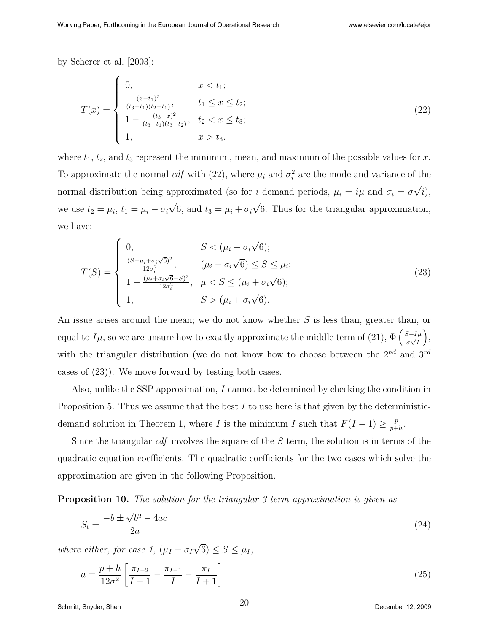by Scherer et al. [2003]:

$$
T(x) = \begin{cases} 0, & x < t_1; \\ \frac{(x-t_1)^2}{(t_3-t_1)(t_2-t_1)}, & t_1 \le x \le t_2; \\ 1 - \frac{(t_3-x)^2}{(t_3-t_1)(t_3-t_2)}, & t_2 < x \le t_3; \\ 1, & x > t_3. \end{cases}
$$
(22)

where  $t_1$ ,  $t_2$ , and  $t_3$  represent the minimum, mean, and maximum of the possible values for x. To approximate the normal *cdf* with (22), where  $\mu_i$  and  $\sigma_i^2$  are the mode and variance of the normal distribution being approximated (so for i demand periods,  $\mu_i = i\mu$  and  $\sigma_i = \sigma \sqrt{i}$ ), √ we use  $t_2 = \mu_i, t_1 = \mu_i - \sigma_i$ √ 6, and  $t_3 = \mu_i + \sigma_i$ √ 6. Thus for the triangular approximation, we have:

$$
T(S) = \begin{cases} 0, & S < (\mu_i - \sigma_i \sqrt{6});\\ \frac{(S - \mu_i + \sigma_i \sqrt{6})^2}{12\sigma_i^2}, & (\mu_i - \sigma_i \sqrt{6}) \le S \le \mu_i;\\ 1 - \frac{(\mu_i + \sigma_i \sqrt{6} - S)^2}{12\sigma_i^2}, & \mu < S \le (\mu_i + \sigma_i \sqrt{6});\\ 1, & S > (\mu_i + \sigma_i \sqrt{6}). \end{cases}
$$
(23)

An issue arises around the mean; we do not know whether S is less than, greater than, or equal to  $I\mu$ , so we are unsure how to exactly approximate the middle term of (21),  $\Phi\left(\frac{S-I\mu}{\sigma\sqrt{I}}\right)$  $\frac{5-I}{\sigma\sqrt{I}}$  $),$ with the triangular distribution (we do not know how to choose between the  $2^{nd}$  and  $3^{rd}$ cases of (23)). We move forward by testing both cases.

Also, unlike the SSP approximation, I cannot be determined by checking the condition in Proposition 5. Thus we assume that the best  $I$  to use here is that given by the deterministicdemand solution in Theorem 1, where I is the minimum I such that  $F(I-1) \geq \frac{p}{n+1}$  $\frac{p}{p+h}$ .

Since the triangular  $cdf$  involves the square of the  $S$  term, the solution is in terms of the quadratic equation coefficients. The quadratic coefficients for the two cases which solve the approximation are given in the following Proposition.

Proposition 10. The solution for the triangular 3-term approximation is given as

$$
S_t = \frac{-b \pm \sqrt{b^2 - 4ac}}{2a} \tag{24}
$$

where either, for case 1,  $(\mu_I - \sigma_I)$ √  $(6) \leq S \leq \mu_I$ 

$$
a = \frac{p+h}{12\sigma^2} \left[ \frac{\pi_{I-2}}{I-1} - \frac{\pi_{I-1}}{I} - \frac{\pi_I}{I+1} \right]
$$
 (25)

Schmitt, Snyder, Shen December 12, 2009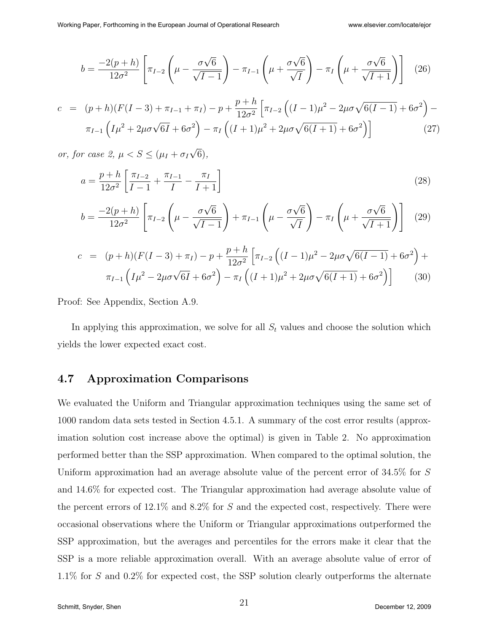$$
b = \frac{-2(p+h)}{12\sigma^2} \left[ \pi_{I-2} \left( \mu - \frac{\sigma \sqrt{6}}{\sqrt{I-1}} \right) - \pi_{I-1} \left( \mu + \frac{\sigma \sqrt{6}}{\sqrt{I}} \right) - \pi_I \left( \mu + \frac{\sigma \sqrt{6}}{\sqrt{I+1}} \right) \right] \tag{26}
$$

$$
c = (p+h)(F(I-3) + \pi_{I-1} + \pi_I) - p + \frac{p+h}{12\sigma^2} \left[ \pi_{I-2} \left( (I-1)\mu^2 - 2\mu\sigma\sqrt{6(I-1)} + 6\sigma^2 \right) - \pi_{I-1} \left( I\mu^2 + 2\mu\sigma\sqrt{6I} + 6\sigma^2 \right) - \pi_I \left( (I+1)\mu^2 + 2\mu\sigma\sqrt{6(I+1)} + 6\sigma^2 \right) \right]
$$
(27)

or, for case 2,  $\mu < S \leq (\mu_I + \sigma_I)$ √ 6),

$$
a = \frac{p+h}{12\sigma^2} \left[ \frac{\pi_{I-2}}{I-1} + \frac{\pi_{I-1}}{I} - \frac{\pi_I}{I+1} \right]
$$
 (28)

$$
b = \frac{-2(p+h)}{12\sigma^2} \left[ \pi_{I-2} \left( \mu - \frac{\sigma \sqrt{6}}{\sqrt{I-1}} \right) + \pi_{I-1} \left( \mu - \frac{\sigma \sqrt{6}}{\sqrt{I}} \right) - \pi_I \left( \mu + \frac{\sigma \sqrt{6}}{\sqrt{I+1}} \right) \right]
$$
(29)

$$
c = (p+h)(F(I-3) + \pi_I) - p + \frac{p+h}{12\sigma^2} \left[ \pi_{I-2} \left( (I-1)\mu^2 - 2\mu\sigma\sqrt{6(I-1)} + 6\sigma^2 \right) + \pi_{I-1} \left( I\mu^2 - 2\mu\sigma\sqrt{6I} + 6\sigma^2 \right) - \pi_I \left( (I+1)\mu^2 + 2\mu\sigma\sqrt{6(I+1)} + 6\sigma^2 \right) \right]
$$
(30)

Proof: See Appendix, Section A.9.

In applying this approximation, we solve for all  $S_t$  values and choose the solution which yields the lower expected exact cost.

## 4.7 Approximation Comparisons

We evaluated the Uniform and Triangular approximation techniques using the same set of 1000 random data sets tested in Section 4.5.1. A summary of the cost error results (approximation solution cost increase above the optimal) is given in Table 2. No approximation performed better than the SSP approximation. When compared to the optimal solution, the Uniform approximation had an average absolute value of the percent error of 34.5% for S and 14.6% for expected cost. The Triangular approximation had average absolute value of the percent errors of  $12.1\%$  and  $8.2\%$  for S and the expected cost, respectively. There were occasional observations where the Uniform or Triangular approximations outperformed the SSP approximation, but the averages and percentiles for the errors make it clear that the SSP is a more reliable approximation overall. With an average absolute value of error of 1.1% for S and 0.2% for expected cost, the SSP solution clearly outperforms the alternate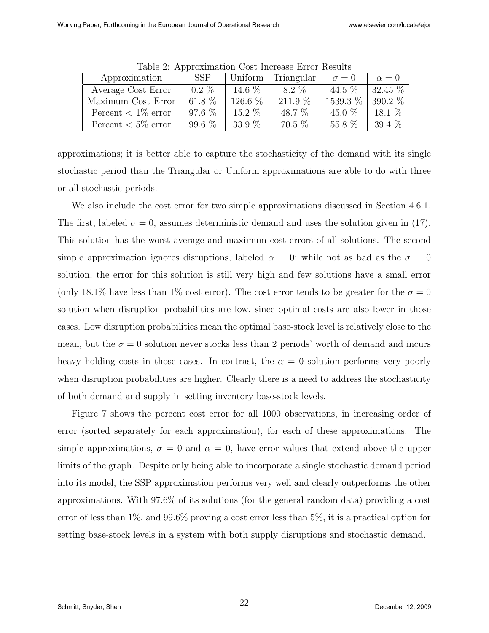| <b>SSP</b> | Uniform  | Triangular | $\sigma=0$ | $\alpha = 0$ |
|------------|----------|------------|------------|--------------|
| $0.2\%$    | 14.6 $%$ | 8.2 \%     | 44.5 %     | $32.45\%$    |
| 61.8 %     | 126.6 %  | 211.9 %    | 1539.3 %   | $390.2\%$    |
| $97.6\%$   | $15.2\%$ | 48.7 %     | 45.0 $%$   | $18.1\%$     |
| 99.6 $%$   | 33.9 %   | 70.5 %     | 55.8 %     | $39.4\%$     |
|            |          |            |            |              |

Table 2: Approximation Cost Increase Error Results

approximations; it is better able to capture the stochasticity of the demand with its single stochastic period than the Triangular or Uniform approximations are able to do with three or all stochastic periods.

We also include the cost error for two simple approximations discussed in Section 4.6.1. The first, labeled  $\sigma = 0$ , assumes deterministic demand and uses the solution given in (17). This solution has the worst average and maximum cost errors of all solutions. The second simple approximation ignores disruptions, labeled  $\alpha = 0$ ; while not as bad as the  $\sigma = 0$ solution, the error for this solution is still very high and few solutions have a small error (only 18.1% have less than 1% cost error). The cost error tends to be greater for the  $\sigma = 0$ solution when disruption probabilities are low, since optimal costs are also lower in those cases. Low disruption probabilities mean the optimal base-stock level is relatively close to the mean, but the  $\sigma = 0$  solution never stocks less than 2 periods' worth of demand and incurs heavy holding costs in those cases. In contrast, the  $\alpha = 0$  solution performs very poorly when disruption probabilities are higher. Clearly there is a need to address the stochasticity of both demand and supply in setting inventory base-stock levels.

Figure 7 shows the percent cost error for all 1000 observations, in increasing order of error (sorted separately for each approximation), for each of these approximations. The simple approximations,  $\sigma = 0$  and  $\alpha = 0$ , have error values that extend above the upper limits of the graph. Despite only being able to incorporate a single stochastic demand period into its model, the SSP approximation performs very well and clearly outperforms the other approximations. With 97.6% of its solutions (for the general random data) providing a cost error of less than 1%, and 99.6% proving a cost error less than 5%, it is a practical option for setting base-stock levels in a system with both supply disruptions and stochastic demand.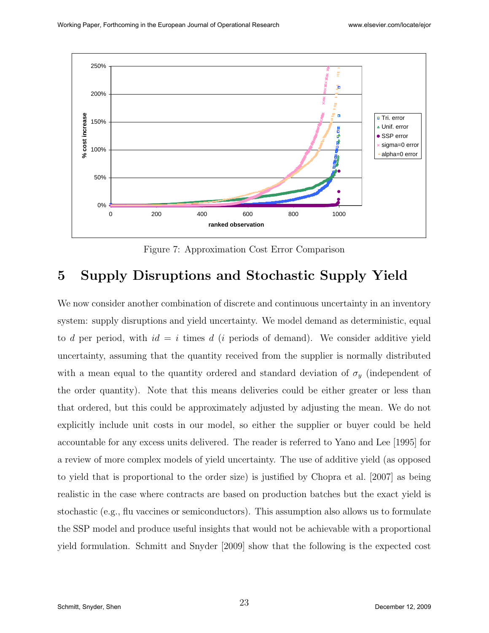

Figure 7: Approximation Cost Error Comparison

# 5 Supply Disruptions and Stochastic Supply Yield

We now consider another combination of discrete and continuous uncertainty in an inventory system: supply disruptions and yield uncertainty. We model demand as deterministic, equal to d per period, with  $id = i$  times d (i periods of demand). We consider additive yield uncertainty, assuming that the quantity received from the supplier is normally distributed with a mean equal to the quantity ordered and standard deviation of  $\sigma_y$  (independent of the order quantity). Note that this means deliveries could be either greater or less than that ordered, but this could be approximately adjusted by adjusting the mean. We do not explicitly include unit costs in our model, so either the supplier or buyer could be held accountable for any excess units delivered. The reader is referred to Yano and Lee [1995] for a review of more complex models of yield uncertainty. The use of additive yield (as opposed to yield that is proportional to the order size) is justified by Chopra et al. [2007] as being realistic in the case where contracts are based on production batches but the exact yield is stochastic (e.g., flu vaccines or semiconductors). This assumption also allows us to formulate the SSP model and produce useful insights that would not be achievable with a proportional yield formulation. Schmitt and Snyder [2009] show that the following is the expected cost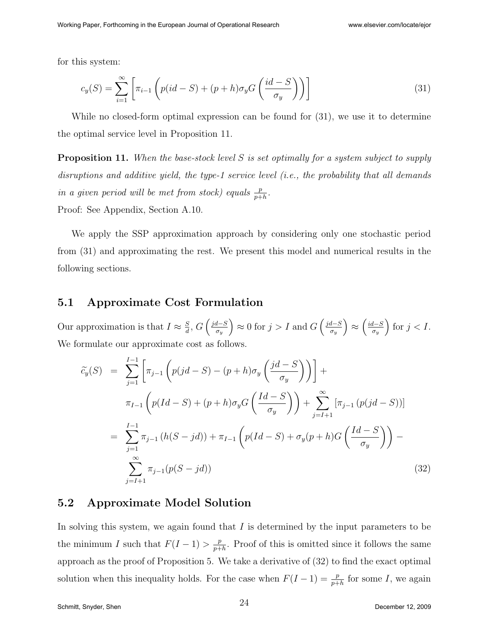for this system:

$$
c_y(S) = \sum_{i=1}^{\infty} \left[ \pi_{i-1} \left( p(id - S) + (p+h)\sigma_y G\left(\frac{id - S}{\sigma_y}\right) \right) \right]
$$
(31)

While no closed-form optimal expression can be found for (31), we use it to determine the optimal service level in Proposition 11.

Proposition 11. When the base-stock level S is set optimally for a system subject to supply disruptions and additive yield, the type-1 service level (i.e., the probability that all demands in a given period will be met from stock) equals  $\frac{p}{p+h}$ .

Proof: See Appendix, Section A.10.

We apply the SSP approximation approach by considering only one stochastic period from (31) and approximating the rest. We present this model and numerical results in the following sections.

### 5.1 Approximate Cost Formulation

Our approximation is that  $I \approx \frac{S}{d}$  $\frac{S}{d},\,G\left(\frac{jd-S}{\sigma_y}\right)$  $\sigma_y$  $\bigg) \approx 0$  for  $j > I$  and  $G\left(\frac{jd-S}{\sigma}\right)$  $\sigma_y$  $\bigg|\approx\bigg(\frac{id-S}{\sigma}\bigg)$  $\sigma_y$ ) for  $j < I$ . We formulate our approximate cost as follows.

$$
\tilde{c}_{y}(S) = \sum_{j=1}^{I-1} \left[ \pi_{j-1} \left( p(jd - S) - (p + h)\sigma_{y} \left( \frac{jd - S}{\sigma_{y}} \right) \right) \right] +
$$
\n
$$
\pi_{I-1} \left( p(Id - S) + (p + h)\sigma_{y} G \left( \frac{Id - S}{\sigma_{y}} \right) \right) + \sum_{j=I+1}^{\infty} \left[ \pi_{j-1} \left( p(jd - S) \right) \right]
$$
\n
$$
= \sum_{j=1}^{I-1} \pi_{j-1} \left( h(S - jd) \right) + \pi_{I-1} \left( p(Id - S) + \sigma_{y}(p + h) G \left( \frac{Id - S}{\sigma_{y}} \right) \right) -
$$
\n
$$
\sum_{j=I+1}^{\infty} \pi_{j-1} (p(S - jd)) \tag{32}
$$

### 5.2 Approximate Model Solution

In solving this system, we again found that  $I$  is determined by the input parameters to be the minimum I such that  $F(I-1) > \frac{p}{n+1}$  $\frac{p}{p+h}$ . Proof of this is omitted since it follows the same approach as the proof of Proposition 5. We take a derivative of (32) to find the exact optimal solution when this inequality holds. For the case when  $F(I-1) = \frac{p}{p+h}$  for some I, we again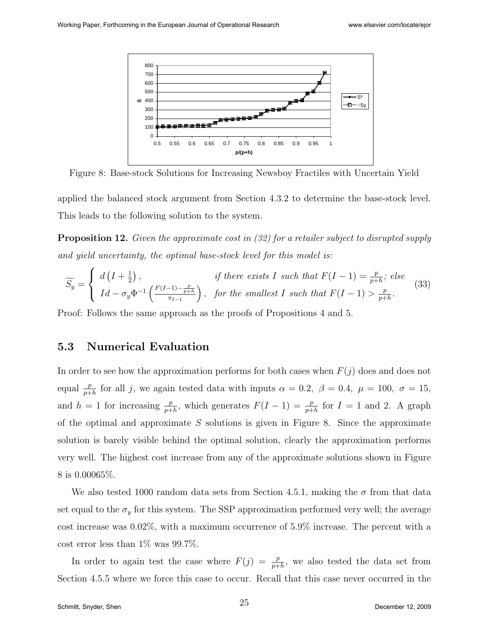

Figure 8: Base-stock Solutions for Increasing Newsboy Fractiles with Uncertain Yield

applied the balanced stock argument from Section 4.3.2 to determine the base-stock level. This leads to the following solution to the system.

**Proposition 12.** Given the approximate cost in (32) for a retailer subject to disrupted supply and yield uncertainty, the optimal base-stock level for this model is:

$$
\widetilde{S}_y = \begin{cases}\nd\left(I + \frac{1}{2}\right), & \text{if there exists } I \text{ such that } F(I - 1) = \frac{p}{p+h}; \text{ else} \\
Id - \sigma_y \Phi^{-1}\left(\frac{F(I - 1) - \frac{p}{p+h}}{\pi_{I-1}}\right), & \text{for the smallest } I \text{ such that } F(I - 1) > \frac{p}{p+h}.\n\end{cases}
$$
\n(33)

Proof: Follows the same approach as the proofs of Propositions 4 and 5.

### 5.3 Numerical Evaluation

In order to see how the approximation performs for both cases when  $F(j)$  does and does not equal  $\frac{p}{p+h}$  for all j, we again tested data with inputs  $\alpha = 0.2$ ,  $\beta = 0.4$ ,  $\mu = 100$ ,  $\sigma = 15$ , and  $h = 1$  for increasing  $\frac{p}{p+h}$ , which generates  $F(I-1) = \frac{p}{p+h}$  for  $I = 1$  and 2. A graph of the optimal and approximate  $S$  solutions is given in Figure 8. Since the approximate solution is barely visible behind the optimal solution, clearly the approximation performs very well. The highest cost increase from any of the approximate solutions shown in Figure 8 is 0.00065%.

We also tested 1000 random data sets from Section 4.5.1, making the  $\sigma$  from that data set equal to the  $\sigma_y$  for this system. The SSP approximation performed very well; the average cost increase was 0.02%, with a maximum occurrence of 5.9% increase. The percent with a cost error less than 1% was 99.7%.

In order to again test the case where  $F(j) = \frac{p}{p+h}$ , we also tested the data set from Section 4.5.5 where we force this case to occur. Recall that this case never occurred in the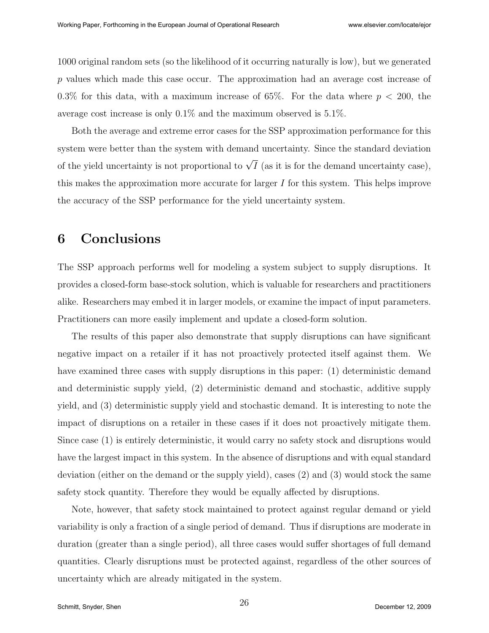1000 original random sets (so the likelihood of it occurring naturally is low), but we generated p values which made this case occur. The approximation had an average cost increase of 0.3% for this data, with a maximum increase of 65%. For the data where  $p < 200$ , the average cost increase is only 0.1% and the maximum observed is 5.1%.

Both the average and extreme error cases for the SSP approximation performance for this system were better than the system with demand uncertainty. Since the standard deviation of the yield uncertainty is not proportional to  $\sqrt{I}$  (as it is for the demand uncertainty case), this makes the approximation more accurate for larger  $I$  for this system. This helps improve the accuracy of the SSP performance for the yield uncertainty system.

# 6 Conclusions

The SSP approach performs well for modeling a system subject to supply disruptions. It provides a closed-form base-stock solution, which is valuable for researchers and practitioners alike. Researchers may embed it in larger models, or examine the impact of input parameters. Practitioners can more easily implement and update a closed-form solution.

The results of this paper also demonstrate that supply disruptions can have significant negative impact on a retailer if it has not proactively protected itself against them. We have examined three cases with supply disruptions in this paper: (1) deterministic demand and deterministic supply yield, (2) deterministic demand and stochastic, additive supply yield, and (3) deterministic supply yield and stochastic demand. It is interesting to note the impact of disruptions on a retailer in these cases if it does not proactively mitigate them. Since case (1) is entirely deterministic, it would carry no safety stock and disruptions would have the largest impact in this system. In the absence of disruptions and with equal standard deviation (either on the demand or the supply yield), cases (2) and (3) would stock the same safety stock quantity. Therefore they would be equally affected by disruptions.

Note, however, that safety stock maintained to protect against regular demand or yield variability is only a fraction of a single period of demand. Thus if disruptions are moderate in duration (greater than a single period), all three cases would suffer shortages of full demand quantities. Clearly disruptions must be protected against, regardless of the other sources of uncertainty which are already mitigated in the system.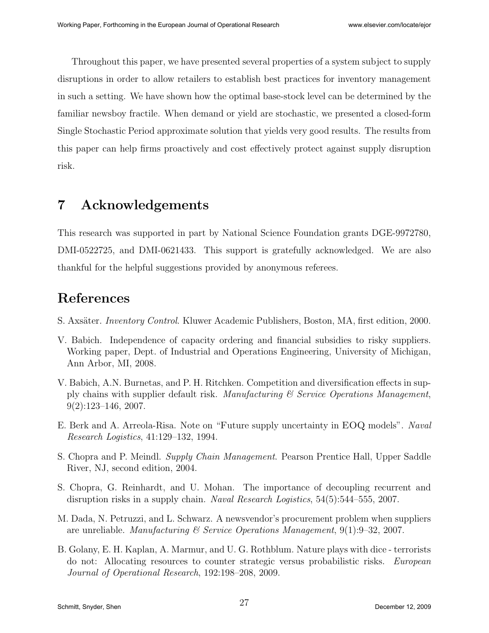Throughout this paper, we have presented several properties of a system subject to supply disruptions in order to allow retailers to establish best practices for inventory management in such a setting. We have shown how the optimal base-stock level can be determined by the familiar newsboy fractile. When demand or yield are stochastic, we presented a closed-form Single Stochastic Period approximate solution that yields very good results. The results from this paper can help firms proactively and cost effectively protect against supply disruption risk.

# 7 Acknowledgements

This research was supported in part by National Science Foundation grants DGE-9972780, DMI-0522725, and DMI-0621433. This support is gratefully acknowledged. We are also thankful for the helpful suggestions provided by anonymous referees.

# References

- S. Axsäter. *Inventory Control.* Kluwer Academic Publishers, Boston, MA, first edition, 2000.
- V. Babich. Independence of capacity ordering and financial subsidies to risky suppliers. Working paper, Dept. of Industrial and Operations Engineering, University of Michigan, Ann Arbor, MI, 2008.
- V. Babich, A.N. Burnetas, and P. H. Ritchken. Competition and diversification effects in supply chains with supplier default risk. Manufacturing  $\mathcal C$  Service Operations Management, 9(2):123–146, 2007.
- E. Berk and A. Arreola-Risa. Note on "Future supply uncertainty in EOQ models". Naval Research Logistics, 41:129–132, 1994.
- S. Chopra and P. Meindl. Supply Chain Management. Pearson Prentice Hall, Upper Saddle River, NJ, second edition, 2004.
- S. Chopra, G. Reinhardt, and U. Mohan. The importance of decoupling recurrent and disruption risks in a supply chain. Naval Research Logistics, 54(5):544–555, 2007.
- M. Dada, N. Petruzzi, and L. Schwarz. A newsvendor's procurement problem when suppliers are unreliable. Manufacturing  $\mathcal C$  Service Operations Manugement, 9(1):9–32, 2007.
- B. Golany, E. H. Kaplan, A. Marmur, and U. G. Rothblum. Nature plays with dice terrorists do not: Allocating resources to counter strategic versus probabilistic risks. European Journal of Operational Research, 192:198–208, 2009.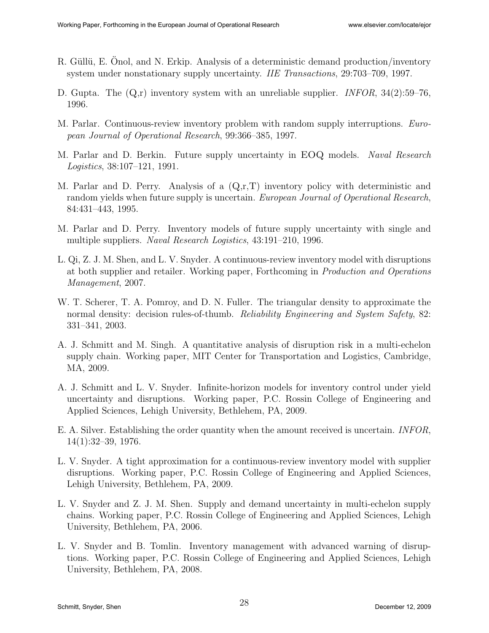- R. Güllü, E. Önol, and N. Erkip. Analysis of a deterministic demand production/inventory system under nonstationary supply uncertainty. IIE Transactions, 29:703–709, 1997.
- D. Gupta. The  $(Q,r)$  inventory system with an unreliable supplier. *INFOR*,  $34(2):59-76$ , 1996.
- M. Parlar. Continuous-review inventory problem with random supply interruptions. European Journal of Operational Research, 99:366–385, 1997.
- M. Parlar and D. Berkin. Future supply uncertainty in EOQ models. Naval Research Logistics, 38:107–121, 1991.
- M. Parlar and D. Perry. Analysis of a  $(Q, r, T)$  inventory policy with deterministic and random yields when future supply is uncertain. European Journal of Operational Research, 84:431–443, 1995.
- M. Parlar and D. Perry. Inventory models of future supply uncertainty with single and multiple suppliers. Naval Research Logistics, 43:191–210, 1996.
- L. Qi, Z. J. M. Shen, and L. V. Snyder. A continuous-review inventory model with disruptions at both supplier and retailer. Working paper, Forthcoming in Production and Operations Management, 2007.
- W. T. Scherer, T. A. Pomroy, and D. N. Fuller. The triangular density to approximate the normal density: decision rules-of-thumb. *Reliability Engineering and System Safety*, 82: 331–341, 2003.
- A. J. Schmitt and M. Singh. A quantitative analysis of disruption risk in a multi-echelon supply chain. Working paper, MIT Center for Transportation and Logistics, Cambridge, MA, 2009.
- A. J. Schmitt and L. V. Snyder. Infinite-horizon models for inventory control under yield uncertainty and disruptions. Working paper, P.C. Rossin College of Engineering and Applied Sciences, Lehigh University, Bethlehem, PA, 2009.
- E. A. Silver. Establishing the order quantity when the amount received is uncertain. INFOR, 14(1):32–39, 1976.
- L. V. Snyder. A tight approximation for a continuous-review inventory model with supplier disruptions. Working paper, P.C. Rossin College of Engineering and Applied Sciences, Lehigh University, Bethlehem, PA, 2009.
- L. V. Snyder and Z. J. M. Shen. Supply and demand uncertainty in multi-echelon supply chains. Working paper, P.C. Rossin College of Engineering and Applied Sciences, Lehigh University, Bethlehem, PA, 2006.
- L. V. Snyder and B. Tomlin. Inventory management with advanced warning of disruptions. Working paper, P.C. Rossin College of Engineering and Applied Sciences, Lehigh University, Bethlehem, PA, 2008.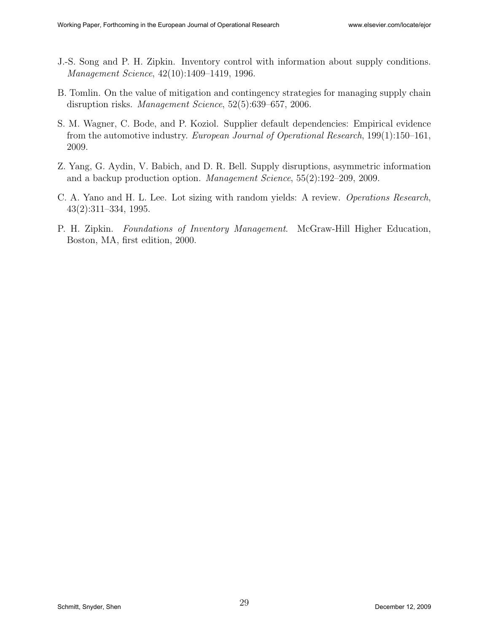- J.-S. Song and P. H. Zipkin. Inventory control with information about supply conditions. Management Science, 42(10):1409–1419, 1996.
- B. Tomlin. On the value of mitigation and contingency strategies for managing supply chain disruption risks. Management Science, 52(5):639–657, 2006.
- S. M. Wagner, C. Bode, and P. Koziol. Supplier default dependencies: Empirical evidence from the automotive industry. European Journal of Operational Research, 199(1):150–161, 2009.
- Z. Yang, G. Aydin, V. Babich, and D. R. Bell. Supply disruptions, asymmetric information and a backup production option. Management Science, 55(2):192–209, 2009.
- C. A. Yano and H. L. Lee. Lot sizing with random yields: A review. Operations Research, 43(2):311–334, 1995.
- P. H. Zipkin. Foundations of Inventory Management. McGraw-Hill Higher Education, Boston, MA, first edition, 2000.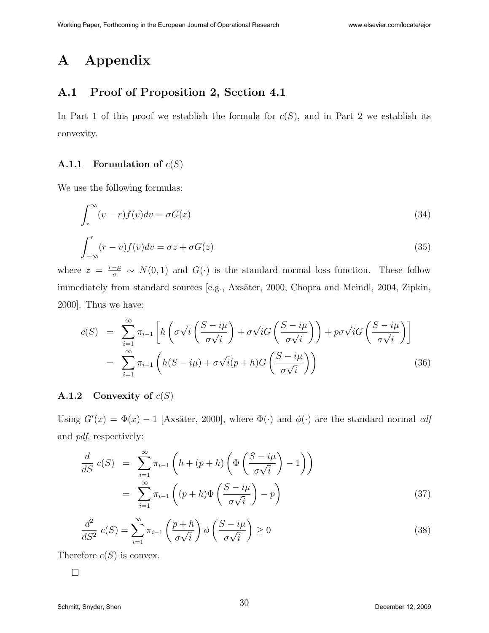# A Appendix

## A.1 Proof of Proposition 2, Section 4.1

In Part 1 of this proof we establish the formula for  $c(S)$ , and in Part 2 we establish its convexity.

### **A.1.1** Formulation of  $c(S)$

We use the following formulas:

$$
\int_{r}^{\infty} (v-r)f(v)dv = \sigma G(z)
$$
\n(34)

$$
\int_{-\infty}^{'} (r-v)f(v)dv = \sigma z + \sigma G(z)
$$
\n(35)

where  $z = \frac{r-\mu}{\sigma} \sim N(0,1)$  and  $G(\cdot)$  is the standard normal loss function. These follow immediately from standard sources [e.g., Axsäter, 2000, Chopra and Meindl, 2004, Zipkin, 2000]. Thus we have:

$$
c(S) = \sum_{i=1}^{\infty} \pi_{i-1} \left[ h \left( \sigma \sqrt{i} \left( \frac{S - i\mu}{\sigma \sqrt{i}} \right) + \sigma \sqrt{i} G \left( \frac{S - i\mu}{\sigma \sqrt{i}} \right) \right) + p \sigma \sqrt{i} G \left( \frac{S - i\mu}{\sigma \sqrt{i}} \right) \right]
$$
  
= 
$$
\sum_{i=1}^{\infty} \pi_{i-1} \left( h(S - i\mu) + \sigma \sqrt{i} (p + h) G \left( \frac{S - i\mu}{\sigma \sqrt{i}} \right) \right)
$$
(36)

### A.1.2 Convexity of  $c(S)$

Using  $G'(x) = \Phi(x) - 1$  [Axsäter, 2000], where  $\Phi(\cdot)$  and  $\phi(\cdot)$  are the standard normal cdf and pdf, respectively:

$$
\frac{d}{dS} c(S) = \sum_{i=1}^{\infty} \pi_{i-1} \left( h + (p+h) \left( \Phi \left( \frac{S - i\mu}{\sigma \sqrt{i}} \right) - 1 \right) \right)
$$
\n
$$
= \sum_{i=1}^{\infty} \pi_{i-1} \left( (p+h) \Phi \left( \frac{S - i\mu}{\sigma \sqrt{i}} \right) - p \right) \tag{37}
$$

$$
\frac{d^2}{dS^2} c(S) = \sum_{i=1}^{\infty} \pi_{i-1} \left( \frac{p+h}{\sigma \sqrt{i}} \right) \phi \left( \frac{S - i\mu}{\sigma \sqrt{i}} \right) \ge 0
$$
\n(38)

Therefore  $c(S)$  is convex.

 $\Box$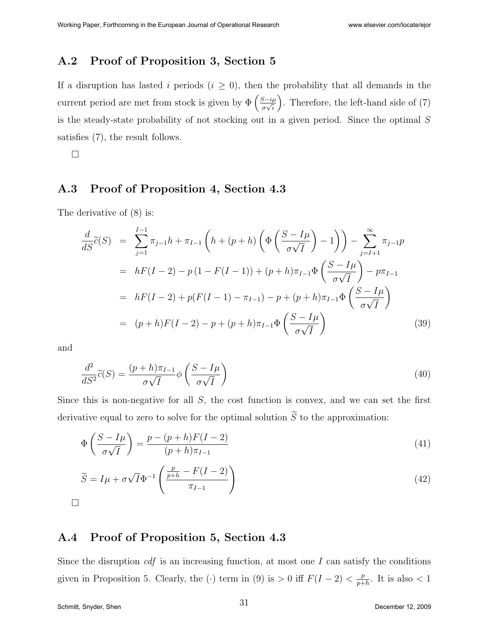## A.2 Proof of Proposition 3, Section 5

If a disruption has lasted i periods  $(i \geq 0)$ , then the probability that all demands in the current period are met from stock is given by  $\Phi\left(\frac{S-i\mu}{\sigma\sqrt{s}}\right)$  $\frac{5-i\mu}{\sigma\sqrt{i}}$  . Therefore, the left-hand side of (7) is the steady-state probability of not stocking out in a given period. Since the optimal S satisfies (7), the result follows.

 $\Box$ 

## A.3 Proof of Proposition 4, Section 4.3

The derivative of (8) is:

$$
\frac{d}{dS}\tilde{c}(S) = \sum_{j=1}^{I-1} \pi_{j-1}h + \pi_{I-1} \left( h + (p+h) \left( \Phi\left(\frac{S-I\mu}{\sigma\sqrt{I}}\right) - 1 \right) \right) - \sum_{j=I+1}^{\infty} \pi_{j-1}p
$$
\n
$$
= hF(I-2) - p(1 - F(I-1)) + (p+h)\pi_{I-1}\Phi\left(\frac{S-I\mu}{\sigma\sqrt{I}}\right) - p\pi_{I-1}
$$
\n
$$
= hF(I-2) + p(F(I-1) - \pi_{I-1}) - p + (p+h)\pi_{I-1}\Phi\left(\frac{S-I\mu}{\sigma\sqrt{I}}\right)
$$
\n
$$
= (p+h)F(I-2) - p + (p+h)\pi_{I-1}\Phi\left(\frac{S-I\mu}{\sigma\sqrt{I}}\right)
$$
\n(39)

and

$$
\frac{d^2}{dS^2}\tilde{c}(S) = \frac{(p+h)\pi_{I-1}}{\sigma\sqrt{I}}\phi\left(\frac{S-I\mu}{\sigma\sqrt{I}}\right)
$$
(40)

Since this is non-negative for all  $S$ , the cost function is convex, and we can set the first derivative equal to zero to solve for the optimal solution  $\widetilde{S}$  to the approximation:

$$
\Phi\left(\frac{S-I\mu}{\sigma\sqrt{I}}\right) = \frac{p-(p+h)F(I-2)}{(p+h)\pi_{I-1}}\tag{41}
$$

$$
\widetilde{S} = I\mu + \sigma\sqrt{I}\Phi^{-1}\left(\frac{\frac{p}{p+h} - F(I-2)}{\pi_{I-1}}\right)
$$
\n(42)

 $\Box$ 

# A.4 Proof of Proposition 5, Section 4.3

Since the disruption  $\textit{cdf}$  is an increasing function, at most one I can satisfy the conditions given in Proposition 5. Clearly, the (·) term in (9) is > 0 iff  $F(I-2) < \frac{p}{n+1}$  $\frac{p}{p+h}$ . It is also  $< 1$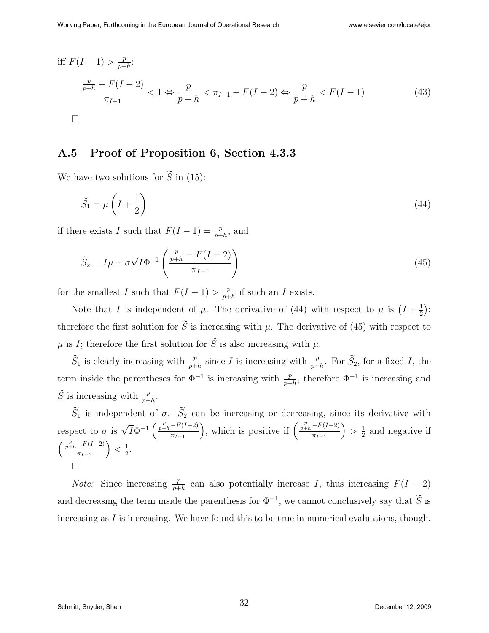if 
$$
F(I-1) > \frac{p}{p+h}
$$
:

\n
$$
\frac{\frac{p}{p+h} - F(I-2)}{\pi_{I-1}} < 1 \Leftrightarrow \frac{p}{p+h} < \pi_{I-1} + F(I-2) \Leftrightarrow \frac{p}{p+h} < F(I-1)
$$
\n□

\n□

## A.5 Proof of Proposition 6, Section 4.3.3

We have two solutions for  $\widetilde{S}$  in (15):

$$
\widetilde{S}_1 = \mu \left( I + \frac{1}{2} \right) \tag{44}
$$

if there exists I such that  $F(I-1) = \frac{p}{p+h}$ , and

$$
\widetilde{S}_2 = I\mu + \sigma\sqrt{I}\Phi^{-1}\left(\frac{\frac{p}{p+h} - F(I-2)}{\pi_{I-1}}\right) \tag{45}
$$

for the smallest I such that  $F(I-1) > \frac{p}{n+1}$  $\frac{p}{p+h}$  if such an I exists.

Note that I is independent of  $\mu$ . The derivative of (44) with respect to  $\mu$  is  $(I + \frac{1}{2})$  $\frac{1}{2}$ ); therefore the first solution for  $\widetilde{S}$  is increasing with  $\mu$ . The derivative of (45) with respect to  $\mu$  is *I*; therefore the first solution for  $\widetilde{S}$  is also increasing with  $\mu$ .

 $\widetilde{S}_1$  is clearly increasing with  $\frac{p}{p+h}$  since I is increasing with  $\frac{p}{p+h}$ . For  $\widetilde{S}_2$ , for a fixed I, the term inside the parentheses for  $\Phi^{-1}$  is increasing with  $\frac{p}{p+h}$ , therefore  $\Phi^{-1}$  is increasing and  $\widetilde{S}$  is increasing with  $\frac{p}{p+h}$ .

 $\widetilde{S}_1$  is independent of  $\sigma$ .  $\widetilde{S}_2$  can be increasing or decreasing, since its derivative with respect to  $\sigma$  is  $\sqrt{I}\Phi^{-1}\left(\frac{\frac{p}{p+h}-F(I-2)}{\pi I}\right)$  $\pi_{I-1}$ ), which is positive if  $\left(\frac{\frac{p}{p+h}-F(I-2)}{\pi}\right)$  $\pi_{I-1}$  $\Big) > \frac{1}{2}$  $\frac{1}{2}$  and negative if  $\int \frac{p}{p+h} - F(I-2)$  $\pi_{I-1}$  $\Big) < \frac{1}{2}$  $\frac{1}{2}$ .  $\Box$ 

*Note:* Since increasing  $\frac{p}{p+h}$  can also potentially increase I, thus increasing  $F(I-2)$ and decreasing the term inside the parenthesis for  $\Phi^{-1}$ , we cannot conclusively say that  $\tilde{S}$  is increasing as  $I$  is increasing. We have found this to be true in numerical evaluations, though.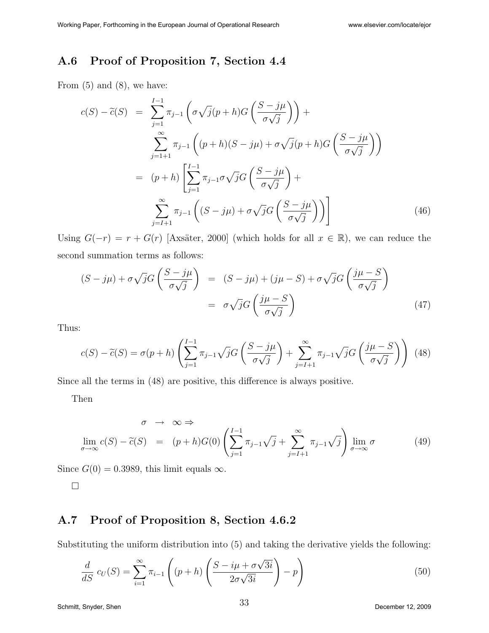## A.6 Proof of Proposition 7, Section 4.4

From  $(5)$  and  $(8)$ , we have:

$$
c(S) - \tilde{c}(S) = \sum_{j=1}^{I-1} \pi_{j-1} \left( \sigma \sqrt{j} (p+h) G \left( \frac{S-j\mu}{\sigma \sqrt{j}} \right) \right) + \sum_{j=1+1}^{\infty} \pi_{j-1} \left( (p+h)(S-j\mu) + \sigma \sqrt{j} (p+h) G \left( \frac{S-j\mu}{\sigma \sqrt{j}} \right) \right)
$$
  

$$
= (p+h) \left[ \sum_{j=1}^{I-1} \pi_{j-1} \sigma \sqrt{j} G \left( \frac{S-j\mu}{\sigma \sqrt{j}} \right) + \sum_{j=I+1}^{\infty} \pi_{j-1} \left( (S-j\mu) + \sigma \sqrt{j} G \left( \frac{S-j\mu}{\sigma \sqrt{j}} \right) \right) \right]
$$
(46)

Using  $G(-r) = r + G(r)$  [Axsäter, 2000] (which holds for all  $x \in \mathbb{R}$ ), we can reduce the second summation terms as follows:

$$
(S - j\mu) + \sigma\sqrt{j}G\left(\frac{S - j\mu}{\sigma\sqrt{j}}\right) = (S - j\mu) + (j\mu - S) + \sigma\sqrt{j}G\left(\frac{j\mu - S}{\sigma\sqrt{j}}\right)
$$

$$
= \sigma\sqrt{j}G\left(\frac{j\mu - S}{\sigma\sqrt{j}}\right)
$$
(47)

Thus:

$$
c(S) - \widetilde{c}(S) = \sigma(p+h) \left( \sum_{j=1}^{I-1} \pi_{j-1} \sqrt{j} G\left(\frac{S-j\mu}{\sigma\sqrt{j}}\right) + \sum_{j=I+1}^{\infty} \pi_{j-1} \sqrt{j} G\left(\frac{j\mu - S}{\sigma\sqrt{j}}\right) \right)
$$
(48)

Since all the terms in (48) are positive, this difference is always positive.

Then

$$
\sigma \to \infty \Rightarrow
$$
  

$$
\lim_{\sigma \to \infty} c(S) - \tilde{c}(S) = (p + h)G(0) \left( \sum_{j=1}^{I-1} \pi_{j-1} \sqrt{j} + \sum_{j=I+1}^{\infty} \pi_{j-1} \sqrt{j} \right) \lim_{\sigma \to \infty} \sigma
$$
 (49)

Since  $G(0) = 0.3989$ , this limit equals  $\infty$ .

 $\Box$ 

## A.7 Proof of Proposition 8, Section 4.6.2

Substituting the uniform distribution into (5) and taking the derivative yields the following:

$$
\frac{d}{dS} c_U(S) = \sum_{i=1}^{\infty} \pi_{i-1} \left( (p+h) \left( \frac{S - i\mu + \sigma\sqrt{3i}}{2\sigma\sqrt{3i}} \right) - p \right)
$$
(50)

Schmitt, Snyder, Shen December 12, 2009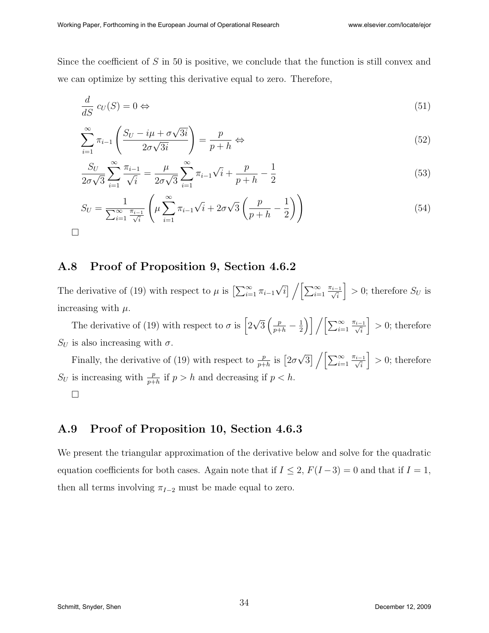Since the coefficient of S in 50 is positive, we conclude that the function is still convex and we can optimize by setting this derivative equal to zero. Therefore,

$$
\frac{d}{dS} c_U(S) = 0 \Leftrightarrow \tag{51}
$$

$$
\sum_{i=1}^{\infty} \pi_{i-1} \left( \frac{S_U - i\mu + \sigma\sqrt{3i}}{2\sigma\sqrt{3i}} \right) = \frac{p}{p+h} \Leftrightarrow \tag{52}
$$

$$
\frac{S_U}{2\sigma\sqrt{3}}\sum_{i=1}^{\infty}\frac{\pi_{i-1}}{\sqrt{i}} = \frac{\mu}{2\sigma\sqrt{3}}\sum_{i=1}^{\infty}\pi_{i-1}\sqrt{i} + \frac{p}{p+h} - \frac{1}{2}
$$
(53)

$$
S_U = \frac{1}{\sum_{i=1}^{\infty} \frac{\pi_{i-1}}{\sqrt{i}}} \left( \mu \sum_{i=1}^{\infty} \pi_{i-1} \sqrt{i} + 2\sigma \sqrt{3} \left( \frac{p}{p+h} - \frac{1}{2} \right) \right)
$$
(54)

## A.8 Proof of Proposition 9, Section 4.6.2

The derivative of (19) with respect to  $\mu$  is  $\left[\sum_{i=1}^{\infty} \pi_{i-1}\right]$ √  $\left\lceil \vec{i} \right\rceil \left/ \left[ \sum_{i=1}^{\infty} \frac{\pi_{i-1}}{\sqrt{i}} \right] \right.$ | > 0; therefore  $S_U$  is increasing with  $\mu$ .

The derivative of (19) with respect to  $\sigma$  is  $\left[2\right]$ √  $\overline{3}\left(\frac{p}{p+h}-\frac{1}{2}\right)$  $\left\lfloor \frac{1}{2} \right\rfloor \right] \left/ \left[ \sum_{i=1}^{\infty} \frac{\pi_{i-1}}{\sqrt{i}} \right]$  $\big] > 0$ ; therefore  $S_U$  is also increasing with  $\sigma$ .

Finally, the derivative of (19) with respect to  $\frac{p}{p+h}$  is  $\left[2\sigma\right]$ √  $\overline{3}\big]\bigg/\bigg[\sum_{i=1}^{\infty}\frac{\pi_{i-1}}{\sqrt{i}}$  $\big] > 0$ ; therefore  $S_U$  is increasing with  $\frac{p}{p+h}$  if  $p > h$  and decreasing if  $p < h$ .

 $\Box$ 

## A.9 Proof of Proposition 10, Section 4.6.3

We present the triangular approximation of the derivative below and solve for the quadratic equation coefficients for both cases. Again note that if  $I \leq 2$ ,  $F(I-3) = 0$  and that if  $I = 1$ , then all terms involving  $\pi_{I-2}$  must be made equal to zero.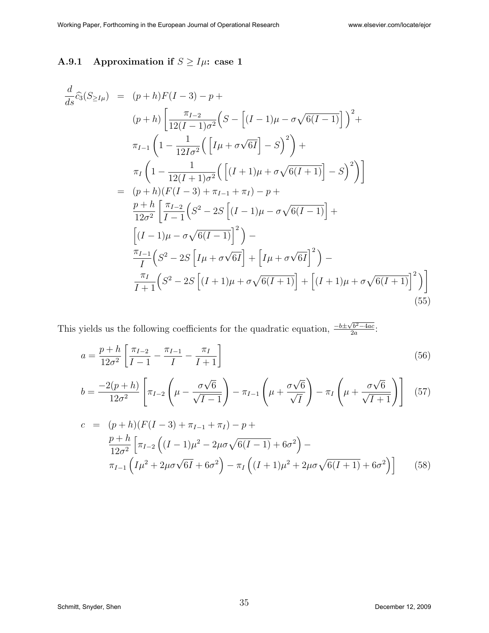## A.9.1 Approximation if  $S \geq I\mu$ : case 1

$$
\frac{d}{ds}\hat{c}_3(S_{\geq I\mu}) = (p+h)F(I-3) - p +
$$
\n
$$
(p+h)\left[\frac{\pi_{I-2}}{12(I-1)\sigma^2}\left(S - \left[(I-1)\mu - \sigma\sqrt{6(I-1)}\right]\right)^2 + \pi_{I-1}\left(1 - \frac{1}{12I\sigma^2}\left(\left[I\mu + \sigma\sqrt{6I}\right] - S\right)^2\right) + \pi_I\left(1 - \frac{1}{12(I+1)\sigma^2}\left(\left[(I+1)\mu + \sigma\sqrt{6(I+1)}\right] - S\right)^2\right)\right]
$$
\n
$$
= (p+h)(F(I-3) + \pi_{I-1} + \pi_I) - p +
$$
\n
$$
\frac{p+h}{12\sigma^2}\left[\frac{\pi_{I-2}}{I-1}\left(S^2 - 2S\left[(I-1)\mu - \sigma\sqrt{6(I-1)}\right] + \left[(I-1)\mu - \sigma\sqrt{6(I-1)}\right]^2\right) - \frac{\pi_{I-1}}{I}\left(S^2 - 2S\left[I\mu + \sigma\sqrt{6I}\right] + \left[I\mu + \sigma\sqrt{6I}\right]^2\right) - \frac{\pi_I}{I+1}\left(S^2 - 2S\left[(I+1)\mu + \sigma\sqrt{6(I+1)}\right] + \left[(I+1)\mu + \sigma\sqrt{6(I+1)}\right]^2\right)\right)
$$
\n(55)

This yields us the following coefficients for the quadratic equation,  $\frac{-b \pm \sqrt{b^2-4ac}}{2a}$  $\frac{b^2-4ac}{2a}$ 

$$
a = \frac{p+h}{12\sigma^2} \left[ \frac{\pi_{I-2}}{I-1} - \frac{\pi_{I-1}}{I} - \frac{\pi_I}{I+1} \right]
$$
\n(56)

$$
b = \frac{-2(p+h)}{12\sigma^2} \left[ \pi_{I-2} \left( \mu - \frac{\sigma \sqrt{6}}{\sqrt{I-1}} \right) - \pi_{I-1} \left( \mu + \frac{\sigma \sqrt{6}}{\sqrt{I}} \right) - \pi_I \left( \mu + \frac{\sigma \sqrt{6}}{\sqrt{I+1}} \right) \right] \tag{57}
$$

$$
c = (p+h)(F(I-3) + \pi_{I-1} + \pi_I) - p +
$$
  
\n
$$
\frac{p+h}{12\sigma^2} \left[ \pi_{I-2} \left( (I-1)\mu^2 - 2\mu\sigma\sqrt{6(I-1)} + 6\sigma^2 \right) - \pi_{I-1} \left( I\mu^2 + 2\mu\sigma\sqrt{6I} + 6\sigma^2 \right) - \pi_I \left( (I+1)\mu^2 + 2\mu\sigma\sqrt{6(I+1)} + 6\sigma^2 \right) \right]
$$
(58)